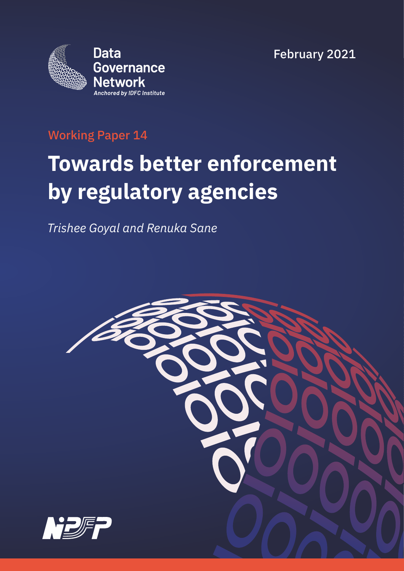February 2021



### Working Paper 14

# **Towards better enforcement by regulatory agencies**

*Trishee Goyal and Renuka Sane*

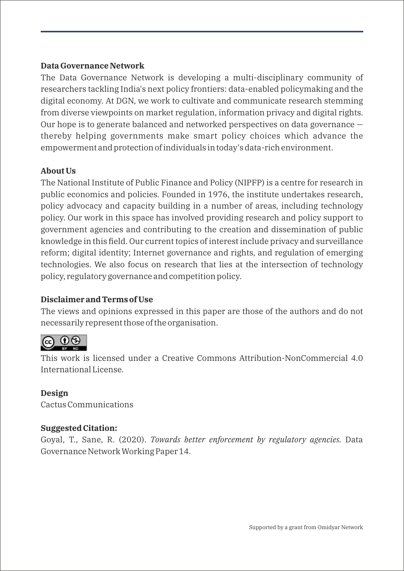#### **Data Governance Network**

The Data Governance Network is developing a multi-disciplinary community of researchers tackling India's next policy frontiers: data-enabled policymaking and the digital economy. At DGN, we work to cultivate and communicate research stemming from diverse viewpoints on market regulation, information privacy and digital rights. Our hope is to generate balanced and networked perspectives on data governance thereby helping governments make smart policy choices which advance the empowerment and protection of individuals in today's data-rich environment.

#### **About Us**

The National Institute of Public Finance and Policy (NIPFP) is a centre for research in public economics and policies. Founded in 1976, the institute undertakes research, policy advocacy and capacity building in a number of areas, including technology policy. Our work in this space has involved providing research and policy support to government agencies and contributing to the creation and dissemination of public knowledge in this field. Our current topics of interest include privacy and surveillance reform; digital identity; Internet governance and rights, and regulation of emerging technologies. We also focus on research that lies at the intersection of technology policy, regulatory governance and competition policy.

#### **Disclaimer and Terms of Use**

The views and opinions expressed in this paper are those of the authors and do not necessarily represent those of the organisation.



This work is licensed under a Creative Commons Attribution-NonCommercial 4.0 International License.

#### **Design**

Cactus Communications

#### **Suggested Citation:**

Goyal, T., Sane, R. (2020). *Towards better enforcement by regulatory agencies.* Data Governance Network Working Paper 14.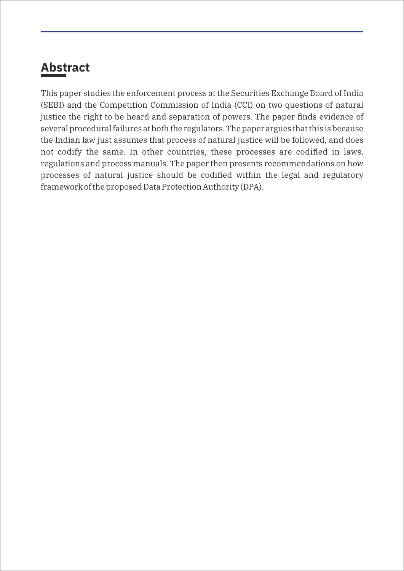# **Abstract**

This paper studies the enforcement process at the Securities Exchange Board of India (SEBI) and the Competition Commission of India (CCI) on two questions of natural justice the right to be heard and separation of powers. The paper finds evidence of several procedural failures at both the regulators. The paper argues that this is because the Indian law just assumes that process of natural justice will be followed, and does not codify the same. In other countries, these processes are codified in laws, regulations and process manuals. The paper then presents recommendations on how processes of natural justice should be codified within the legal and regulatory framework of the proposed Data Protection Authority (DPA).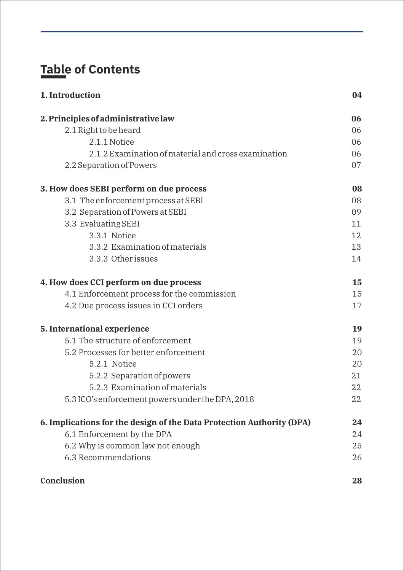# **Table of Contents**

| 1. Introduction                                                       | 04 |
|-----------------------------------------------------------------------|----|
| 2. Principles of administrative law                                   | 06 |
| 2.1 Right to be heard                                                 | 06 |
| 2.1.1 Notice                                                          | 06 |
| 2.1.2 Examination of material and cross examination                   | 06 |
| 2.2 Separation of Powers                                              | 07 |
| 3. How does SEBI perform on due process                               | 08 |
| 3.1 The enforcement process at SEBI                                   | 08 |
| 3.2 Separation of Powers at SEBI                                      | 09 |
| 3.3 Evaluating SEBI                                                   | 11 |
| 3.3.1 Notice                                                          | 12 |
| 3.3.2 Examination of materials                                        | 13 |
| 3.3.3 Other issues                                                    | 14 |
| 4. How does CCI perform on due process                                | 15 |
| 4.1 Enforcement process for the commission                            | 15 |
| 4.2 Due process issues in CCI orders                                  | 17 |
| 5. International experience                                           | 19 |
| 5.1 The structure of enforcement                                      | 19 |
| 5.2 Processes for better enforcement                                  | 20 |
| 5.2.1 Notice                                                          | 20 |
| 5.2.2 Separation of powers                                            | 21 |
| 5.2.3 Examination of materials                                        | 22 |
| 5.3 ICO's enforcement powers under the DPA, 2018                      | 22 |
| 6. Implications for the design of the Data Protection Authority (DPA) | 24 |
| 6.1 Enforcement by the DPA                                            | 24 |
| 6.2 Why is common law not enough                                      | 25 |
| 6.3 Recommendations                                                   | 26 |
| <b>Conclusion</b>                                                     | 28 |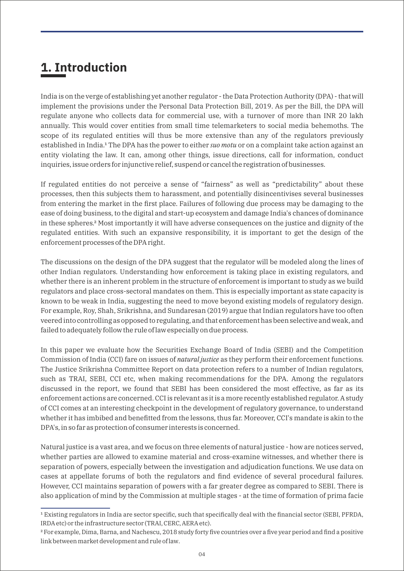### **1. Introduction**

India is on the verge of establishing yet another regulator - the Data Protection Authority (DPA) - that will implement the provisions under the Personal Data Protection Bill, 2019. As per the Bill, the DPA will regulate anyone who collects data for commercial use, with a turnover of more than INR 20 lakh annually. This would cover entities from small time telemarketers to social media behemoths. The scope of its regulated entities will thus be more extensive than any of the regulators previously established in India.<sup>1</sup> The DPA has the power to either *suo motu* or on a complaint take action against an entity violating the law. It can, among other things, issue directions, call for information, conduct inquiries, issue orders for injunctive relief, suspend or cancel the registration of businesses.

If regulated entities do not perceive a sense of "fairness" as well as "predictability" about these processes, then this subjects them to harassment, and potentially disincentivises several businesses from entering the market in the first place. Failures of following due process may be damaging to the ease of doing business, to the digital and start-up ecosystem and damage India's chances of dominance in these spheres.² Most importantly it will have adverse consequences on the justice and dignity of the regulated entities. With such an expansive responsibility, it is important to get the design of the enforcement processes of the DPA right.

The discussions on the design of the DPA suggest that the regulator will be modeled along the lines of other Indian regulators. Understanding how enforcement is taking place in existing regulators, and whether there is an inherent problem in the structure of enforcement is important to study as we build regulators and place cross-sectoral mandates on them. This is especially important as state capacity is known to be weak in India, suggesting the need to move beyond existing models of regulatory design. For example, Roy, Shah, Srikrishna, and Sundaresan (2019) argue that Indian regulators have too often veered into controlling as opposed to regulating, and that enforcement has been selective and weak, and failed to adequately follow the rule of law especially on due process.

In this paper we evaluate how the Securities Exchange Board of India (SEBI) and the Competition Commission of India (CCI) fare on issues of *natural justice* as they perform their enforcement functions. The Justice Srikrishna Committee Report on data protection refers to a number of Indian regulators, such as TRAI, SEBI, CCI etc, when making recommendations for the DPA. Among the regulators discussed in the report, we found that SEBI has been considered the most effective, as far as its enforcement actions are concerned. CCI is relevant as it is a more recently established regulator. A study of CCI comes at an interesting checkpoint in the development of regulatory governance, to understand whether it has imbibed and benefitted from the lessons, thus far. Moreover, CCI's mandate is akin to the DPA's, in so far as protection of consumer interests is concerned.

Natural justice is a vast area, and we focus on three elements of natural justice - how are notices served, whether parties are allowed to examine material and cross-examine witnesses, and whether there is separation of powers, especially between the investigation and adjudication functions. We use data on cases at appellate forums of both the regulators and find evidence of several procedural failures. However, CCI maintains separation of powers with a far greater degree as compared to SEBI. There is also application of mind by the Commission at multiple stages - at the time of formation of prima facie

<sup>&</sup>lt;sup>1</sup> Existing regulators in India are sector specific, such that specifically deal with the financial sector (SEBI, PFRDA, IRDA etc) or the infrastructure sector (TRAI, CERC, AERA etc).

² For example, Dima, Barna, and Nachescu, 2018 study forty five countries over a five year period and find a positive link between market development and rule of law.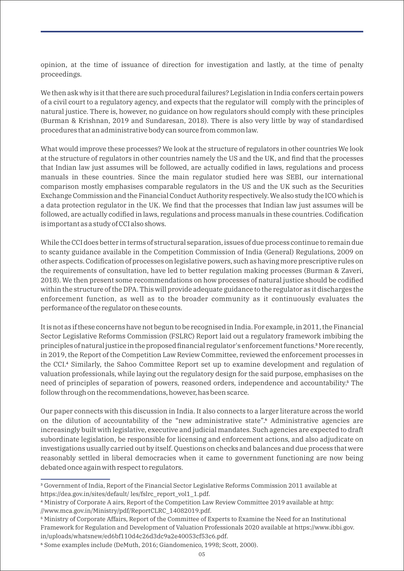opinion, at the time of issuance of direction for investigation and lastly, at the time of penalty proceedings.

We then ask why is it that there are such procedural failures? Legislation in India confers certain powers of a civil court to a regulatory agency, and expects that the regulator will comply with the principles of natural justice. There is, however, no guidance on how regulators should comply with these principles (Burman & Krishnan, 2019 and Sundaresan, 2018). There is also very little by way of standardised procedures that an administrative body can source from common law.

What would improve these processes? We look at the structure of regulators in other countries We look at the structure of regulators in other countries namely the US and the UK, and find that the processes that Indian law just assumes will be followed, are actually codified in laws, regulations and process manuals in these countries. Since the main regulator studied here was SEBI, our international comparison mostly emphasises comparable regulators in the US and the UK such as the Securities Exchange Commission and the Financial Conduct Authority respectively. We also study the ICO which is a data protection regulator in the UK. We find that the processes that Indian law just assumes will be followed, are actually codified in laws, regulations and process manuals in these countries. Codification is important as a study of CCI also shows.

While the CCI does better in terms of structural separation, issues of due process continue to remain due to scanty guidance available in the Competition Commission of India (General) Regulations, 2009 on other aspects. Codification of processes on legislative powers, such as having more prescriptive rules on the requirements of consultation, have led to better regulation making processes (Burman & Zaveri, 2018). We then present some recommendations on how processes of natural justice should be codified within the structure of the DPA. This will provide adequate guidance to the regulator as it discharges the enforcement function, as well as to the broader community as it continuously evaluates the performance of the regulator on these counts.

It is not as if these concerns have not begun to be recognised in India. For example, in 2011, the Financial Sector Legislative Reforms Commission (FSLRC) Report laid out a regulatory framework imbibing the principles of natural justice in the proposed financial regulator's enforcement functions.³More recently, in 2019, the Report of the Competition Law Review Committee, reviewed the enforcement processes in the CCI.⁴ Similarly, the Sahoo Committee Report set up to examine development and regulation of valuation professionals, while laying out the regulatory design for the said purpose, emphasises on the need of principles of separation of powers, reasoned orders, independence and accountability.<sup>5</sup> The follow through on the recommendations, however, has been scarce.

Our paper connects with this discussion in India. It also connects to a larger literature across the world on the dilution of accountability of the "new administrative state". Administrative agencies are increasingly built with legislative, executive and judicial mandates. Such agencies are expected to draft subordinate legislation, be responsible for licensing and enforcement actions, and also adjudicate on investigations usually carried out by itself. Questions on checks and balances and due process that were reasonably settled in liberal democracies when it came to government functioning are now being debated once again with respect to regulators.

³ Government of India, Report of the Financial Sector Legislative Reforms Commission 2011 available at https://dea.gov.in/sites/default/ les/fslrc\_report\_vol1\_1.pdf.

⁴ Ministry of Corporate A airs, Report of the Competition Law Review Committee 2019 available at http: //www.mca.gov.in/Ministry/pdf/ReportCLRC\_14082019.pdf.

⁵ Ministry of Corporate Affairs, Report of the Committee of Experts to Examine the Need for an Institutional Framework for Regulation and Development of Valuation Professionals 2020 available at https://www.ibbi.gov. in/uploads/whatsnew/ed6bf110d4c26d3dc9a2e40053cf53c6.pdf.

⁶ Some examples include (DeMuth, 2016; Giandomenico, 1998; Scott, 2000).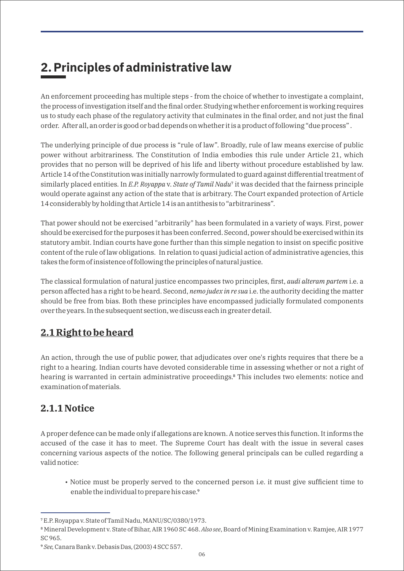# **2. Principles of administrative law**

An enforcement proceeding has multiple steps - from the choice of whether to investigate a complaint, the process of investigation itself and the final order. Studying whether enforcement is working requires us to study each phase of the regulatory activity that culminates in the final order, and not just the final order. After all, an order is good or bad depends on whether it is a product of following "due process" .

The underlying principle of due process is "rule of law". Broadly, rule of law means exercise of public power without arbitrariness. The Constitution of India embodies this rule under Article 21, which provides that no person will be deprived of his life and liberty without procedure established by law. Article 14 of the Constitution was initially narrowly formulated to guard against differential treatment of similarly placed entities. In *E.P. Royappa v. State of Tamil Nadu*<sup>7</sup> it was decided that the fairness principle would operate against any action of the state that is arbitrary. The Court expanded protection of Article 14 considerably by holding that Article 14 is an antithesis to "arbitrariness".

That power should not be exercised "arbitrarily" has been formulated in a variety of ways. First, power should be exercised for the purposes it has been conferred. Second, power should be exercised within its statutory ambit. Indian courts have gone further than this simple negation to insist on specific positive content of the rule of law obligations. In relation to quasi judicial action of administrative agencies, this takes the form of insistence of following the principles of natural justice.

The classical formulation of natural justice encompasses two principles, first, *audi alteram partem* i.e. a person affected has a right to be heard. Second, *nemo judex in re sua* i.e. the authority deciding the matter should be free from bias. Both these principles have encompassed judicially formulated components over the years. In the subsequent section, we discuss each in greater detail.

### **2.1 Right to be heard**

An action, through the use of public power, that adjudicates over one's rights requires that there be a right to a hearing. Indian courts have devoted considerable time in assessing whether or not a right of hearing is warranted in certain administrative proceedings.<sup>8</sup> This includes two elements: notice and examination of materials.

### **2.1.1 Notice**

A proper defence can be made only if allegations are known. A notice serves this function. It informs the accused of the case it has to meet. The Supreme Court has dealt with the issue in several cases concerning various aspects of the notice. The following general principals can be culled regarding a valid notice:

• Notice must be properly served to the concerned person i.e. it must give sufficient time to enable the individual to prepare his case.<sup>9</sup>

⁷ E.P. Royappa v. State of Tamil Nadu, MANU/SC/0380/1973.

⁸ Mineral Development v. State of Bihar, AIR 1960 SC 468. *Also see*, Board of Mining Examination v. Ramjee, AIR 1977 SC 965.

⁹ *See,* Canara Bank v. Debasis Das, (2003) 4 SCC 557.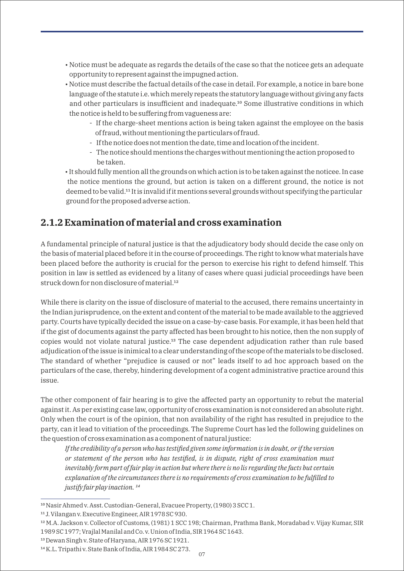- Notice must be adequate as regards the details of the case so that the noticee gets an adequate opportunity to represent against the impugned action.
- Notice must describe the factual details of the case in detail. For example, a notice in bare bone language of the statute i.e. which merely repeats the statutory language without giving any facts and other particulars is insufficient and inadequate.<sup>10</sup> Some illustrative conditions in which the notice is held to be suffering from vagueness are:
	- If the charge-sheet mentions action is being taken against the employee on the basis of fraud, without mentioning the particulars of fraud.
	- If the notice does not mention the date, time and location of the incident.
	- The notice should mentions the charges without mentioning the action proposed to be taken.
- It should fully mention all the grounds on which action is to be taken against the noticee. In case the notice mentions the ground, but action is taken on a different ground, the notice is not deemed to be valid.<sup>11</sup> It is invalid if it mentions several grounds without specifying the particular ground for the proposed adverse action.

#### **2.1.2 Examination of material and cross examination**

A fundamental principle of natural justice is that the adjudicatory body should decide the case only on the basis of material placed before it in the course of proceedings. The right to know what materials have been placed before the authority is crucial for the person to exercise his right to defend himself. This position in law is settled as evidenced by a litany of cases where quasi judicial proceedings have been struck down for non disclosure of material.<sup>12</sup>

While there is clarity on the issue of disclosure of material to the accused, there remains uncertainty in the Indian jurisprudence, on the extent and content of the material to be made available to the aggrieved party. Courts have typically decided the issue on a case-by-case basis. For example, it has been held that if the gist of documents against the party affected has been brought to his notice, then the non supply of copies would not violate natural justice.<sup>13</sup> The case dependent adjudication rather than rule based adjudication of the issue is inimical to a clear understanding of the scope of the materials to be disclosed. The standard of whether "prejudice is caused or not" leads itself to ad hoc approach based on the particulars of the case, thereby, hindering development of a cogent administrative practice around this issue.

The other component of fair hearing is to give the affected party an opportunity to rebut the material against it. As per existing case law, opportunity of cross examination is not considered an absolute right. Only when the court is of the opinion, that non availability of the right has resulted in prejudice to the party, can it lead to vitiation of the proceedings. The Supreme Court has led the following guidelines on the question of cross examination as a component of natural justice:

*If the credibility of a person who has testified given some information is in doubt, or if the version or statement of the person who has testified, is in dispute, right of cross examination must inevitably form part of fair play in action but where there is no lis regarding the facts but certain explanation of the circumstances there is no requirements of cross examination to be fulfilled to justify fair play inaction.*<sup>14</sup>

<sup>&</sup>lt;sup>10</sup> Nasir Ahmed v. Asst. Custodian-General, Evacuee Property, (1980) 3 SCC 1.

<sup>&</sup>lt;sup>11</sup> J. Vilangan v. Executive Engineer, AIR 1978 SC 930.

<sup>&</sup>lt;sup>12</sup> M.A. Jackson v. Collector of Customs, (1981) 1 SCC 198; Chairman, Prathma Bank, Moradabad v. Vijay Kumar, SIR 1989 SC 1977; Vrajlal Manilal and Co. v. Union of India, SIR 1964 SC 1643.

<sup>&</sup>lt;sup>13</sup> Dewan Singh v. State of Haryana, AIR 1976 SC 1921.

<sup>14</sup> K.L. Tripathi v. State Bank of India, AIR 1984 SC 273.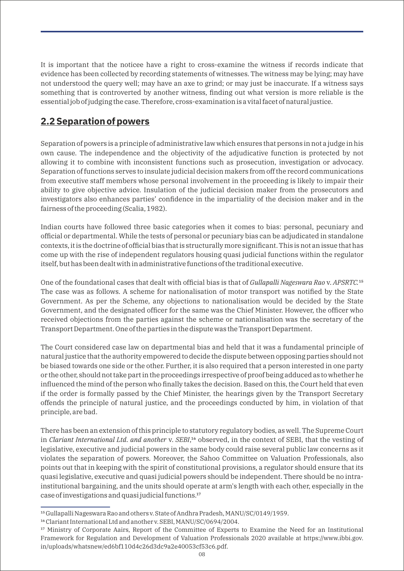It is important that the noticee have a right to cross-examine the witness if records indicate that evidence has been collected by recording statements of witnesses. The witness may be lying; may have not understood the query well; may have an axe to grind; or may just be inaccurate. If a witness says something that is controverted by another witness, finding out what version is more reliable is the essential job of judging the case. Therefore, cross-examination is a vital facet of natural justice.

### **2.2 Separation of powers**

Separation of powers is a principle of administrative law which ensures that persons in not a judge in his own cause. The independence and the objectivity of the adjudicative function is protected by not allowing it to combine with inconsistent functions such as prosecution, investigation or advocacy. Separation of functions serves to insulate judicial decision makers from off the record communications from executive staff members whose personal involvement in the proceeding is likely to impair their ability to give objective advice. Insulation of the judicial decision maker from the prosecutors and investigators also enhances parties' confidence in the impartiality of the decision maker and in the fairness of the proceeding (Scalia, 1982).

Indian courts have followed three basic categories when it comes to bias: personal, pecuniary and official or departmental. While the tests of personal or pecuniary bias can be adjudicated in standalone contexts, it is the doctrine of official bias that is structurally more significant. This is not an issue that has come up with the rise of independent regulators housing quasi judicial functions within the regulator itself, but has been dealt with in administrative functions of the traditional executive.

One of the foundational cases that dealt with official bias is that of *Gullapalli Nageswara Rao* v. APSRTC.<sup>15</sup> The case was as follows. A scheme for nationalisation of motor transport was notified by the State Government. As per the Scheme, any objections to nationalisation would be decided by the State Government, and the designated officer for the same was the Chief Minister. However, the officer who received objections from the parties against the scheme or nationalisation was the secretary of the Transport Department. One of the parties in the dispute was the Transport Department.

The Court considered case law on departmental bias and held that it was a fundamental principle of natural justice that the authority empowered to decide the dispute between opposing parties should not be biased towards one side or the other. Further, it is also required that a person interested in one party or the other, should not take part in the proceedings irrespective of proof being adduced as to whether he influenced the mind of the person who finally takes the decision. Based on this, the Court held that even if the order is formally passed by the Chief Minister, the hearings given by the Transport Secretary offends the principle of natural justice, and the proceedings conducted by him, in violation of that principle, are bad.

There has been an extension of this principle to statutory regulatory bodies, as well. The Supreme Court in *Clariant International Ltd. and another* v. *SEBI*,<sup>16</sup> observed, in the context of SEBI, that the vesting of legislative, executive and judicial powers in the same body could raise several public law concerns as it violates the separation of powers. Moreover, the Sahoo Committee on Valuation Professionals, also points out that in keeping with the spirit of constitutional provisions, a regulator should ensure that its quasi legislative, executive and quasi judicial powers should be independent. There should be no intrainstitutional bargaining, and the units should operate at arm's length with each other, especially in the case of investigations and quasi judicial functions.<sup>17</sup>

<sup>15</sup> Gullapalli Nageswara Rao and others v. State of Andhra Pradesh, MANU/SC/0149/1959.

<sup>&</sup>lt;sup>16</sup> Clariant International Ltd and another v. SEBI, MANU/SC/0694/2004.

<sup>&</sup>lt;sup>17</sup> Ministry of Corporate Aairs, Report of the Committee of Experts to Examine the Need for an Institutional Framework for Regulation and Development of Valuation Professionals 2020 available at https://www.ibbi.gov. in/uploads/whatsnew/ed6bf110d4c26d3dc9a2e40053cf53c6.pdf.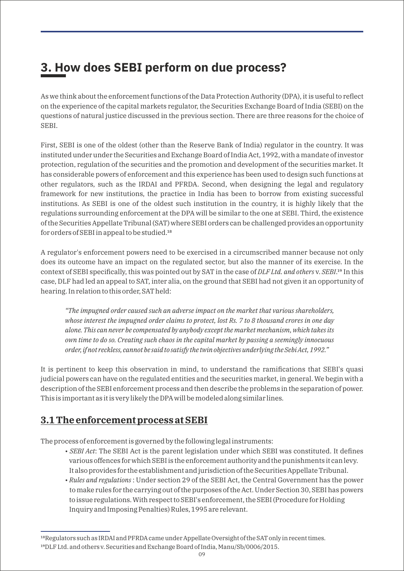### **3. How does SEBI perform on due process?**

As we think about the enforcement functions of the Data Protection Authority (DPA), it is useful to reflect on the experience of the capital markets regulator, the Securities Exchange Board of India (SEBI) on the questions of natural justice discussed in the previous section. There are three reasons for the choice of SEBI.

First, SEBI is one of the oldest (other than the Reserve Bank of India) regulator in the country. It was instituted under under the Securities and Exchange Board of India Act, 1992, with a mandate of investor protection, regulation of the securities and the promotion and development of the securities market. It has considerable powers of enforcement and this experience has been used to design such functions at other regulators, such as the IRDAI and PFRDA. Second, when designing the legal and regulatory framework for new institutions, the practice in India has been to borrow from existing successful institutions. As SEBI is one of the oldest such institution in the country, it is highly likely that the regulations surrounding enforcement at the DPA will be similar to the one at SEBI. Third, the existence of the Securities Appellate Tribunal (SAT) where SEBI orders can be challenged provides an opportunity for orders of SEBI in appeal to be studied.<sup>18</sup>

A regulator's enforcement powers need to be exercised in a circumscribed manner because not only does its outcome have an impact on the regulated sector, but also the manner of its exercise. In the context of SEBI specifically, this was pointed out by SAT in the case of *DLF Ltd. and others* y. *SEBI*.<sup>19</sup> In this case, DLF had led an appeal to SAT, inter alia, on the ground that SEBI had not given it an opportunity of hearing. In relation to this order, SAT held:

*"The impugned order caused such an adverse impact on the market that various shareholders, whose interest the impugned order claims to protect, lost Rs. 7 to 8 thousand crores in one day alone. This can never be compensated by anybody except the market mechanism, which takes its own time to do so. Creating such chaos in the capital market by passing a seemingly innocuous order, if not reckless, cannot be said to satisfy the twin objectives underlying the Sebi Act, 1992."*

It is pertinent to keep this observation in mind, to understand the ramifications that SEBI's quasi judicial powers can have on the regulated entities and the securities market, in general. We begin with a description of the SEBI enforcement process and then describe the problems in the separation of power. This is important as it is very likely the DPA will be modeled along similar lines.

#### **3.1 The enforcement process at SEBI**

The process of enforcement is governed by the following legal instruments:

- *SEBI Act*: The SEBI Act is the parent legislation under which SEBI was constituted. It defines various offences for which SEBI is the enforcement authority and the punishments it can levy. It also provides for the establishment and jurisdiction of the Securities Appellate Tribunal.
- *Rules and regulations* : Under section 29 of the SEBI Act, the Central Government has the power to make rules for the carrying out of the purposes of the Act. Under Section 30, SEBI has powers to issue regulations. With respect to SEBI's enforcement, the SEBI (Procedure for Holding Inquiry and Imposing Penalties) Rules, 1995 are relevant.

<sup>&</sup>lt;sup>18</sup>Regulators such as IRDAI and PFRDA came under Appellate Oversight of the SAT only in recent times.

<sup>&</sup>lt;sup>19</sup>DLF Ltd. and others v. Securities and Exchange Board of India, Manu/Sb/0006/2015.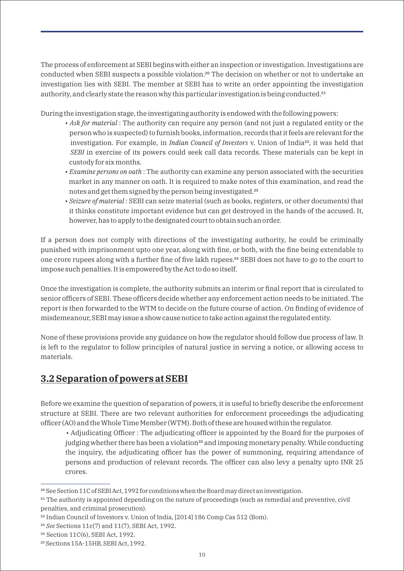The process of enforcement at SEBI begins with either an inspection or investigation. Investigations are conducted when SEBI suspects a possible violation.<sup>20</sup> The decision on whether or not to undertake an investigation lies with SEBI. The member at SEBI has to write an order appointing the investigation authority, and clearly state the reason why this particular investigation is being conducted.<sup>21</sup>

During the investigation stage, the investigating authority is endowed with the following powers:

- *Ask for material* : The authority can require any person (and not just a regulated entity or the person who is suspected) to furnish books, information, records that it feels are relevant for the investigation. For example, in *Indian Council of Investors* v. Union of India²², it was held that *SEBI* in exercise of its powers could seek call data records. These materials can be kept in custody for six months.
- *Examine persons on oath* : The authority can examine any person associated with the securities market in any manner on oath. It is required to make notes of this examination, and read the notes and get them signed by the person being investigated.<sup>23</sup>
- *Seizure of material* : SEBI can seize material (such as books, registers, or other documents) that it thinks constitute important evidence but can get destroyed in the hands of the accused. It, however, has to apply to the designated court to obtain such an order.

If a person does not comply with directions of the investigating authority, he could be criminally punished with imprisonment upto one year, along with fine, or both, with the fine being extendable to one crore rupees along with a further fine of five lakh rupees.<sup>24</sup> SEBI does not have to go to the court to impose such penalties. It is empowered by the Act to do so itself.

Once the investigation is complete, the authority submits an interim or final report that is circulated to senior officers of SEBI. These officers decide whether any enforcement action needs to be initiated. The report is then forwarded to the WTM to decide on the future course of action. On finding of evidence of misdemeanour, SEBI may issue a show cause notice to take action against the regulated entity.

None of these provisions provide any guidance on how the regulator should follow due process of law. It is left to the regulator to follow principles of natural justice in serving a notice, or allowing access to materials.

### **3.2 Separation of powers at SEBI**

Before we examine the question of separation of powers, it is useful to briefly describe the enforcement structure at SEBI. There are two relevant authorities for enforcement proceedings the adjudicating officer (AO) and the Whole Time Member (WTM). Both of these are housed within the regulator.

• Adjudicating Officer : The adjudicating officer is appointed by the Board for the purposes of judging whether there has been a violation<sup>25</sup> and imposing monetary penalty. While conducting the inquiry, the adjudicating officer has the power of summoning, requiring attendance of persons and production of relevant records. The officer can also levy a penalty upto INR 25 crores.

<sup>&</sup>lt;sup>20</sup> See Section 11C of SEBI Act, 1992 for conditions when the Board may direct an investigation.

<sup>&</sup>lt;sup>21</sup> The authority is appointed depending on the nature of proceedings (such as remedial and preventive, civil penalties, and criminal prosecution).

<sup>&</sup>lt;sup>22</sup> Indian Council of Investors v. Union of India, [2014] 186 Comp Cas 512 (Bom).

<sup>&</sup>lt;sup>23</sup> *See* Sections 11c(7) and 11(7), SEBI Act, 1992.

<sup>&</sup>lt;sup>24</sup> Section 11C(6), SEBI Act, 1992.

<sup>&</sup>lt;sup>25</sup> Sections 15A-15HB, SEBI Act, 1992.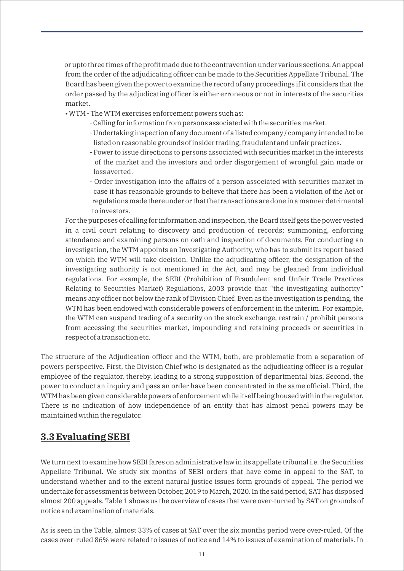or upto three times of the profit made due to the contravention under various sections. An appeal from the order of the adjudicating officer can be made to the Securities Appellate Tribunal. The Board has been given the power to examine the record of any proceedings if it considers that the order passed by the adjudicating officer is either erroneous or not in interests of the securities market.

- WTM The WTM exercises enforcement powers such as:
	- Calling for information from persons associated with the securities market.
	- Undertaking inspection of any document of a listed company / company intended to be listed on reasonable grounds of insider trading, fraudulent and unfair practices.
	- Power to issue directions to persons associated with securities market in the interests of the market and the investors and order disgorgement of wrongful gain made or loss averted.
	- Order investigation into the affairs of a person associated with securities market in case it has reasonable grounds to believe that there has been a violation of the Act or regulations made thereunder or that the transactions are done in a manner detrimental to investors.

For the purposes of calling for information and inspection, the Board itself gets the power vested in a civil court relating to discovery and production of records; summoning, enforcing attendance and examining persons on oath and inspection of documents. For conducting an investigation, the WTM appoints an Investigating Authority, who has to submit its report based on which the WTM will take decision. Unlike the adjudicating officer, the designation of the investigating authority is not mentioned in the Act, and may be gleaned from individual regulations. For example, the SEBI (Prohibition of Fraudulent and Unfair Trade Practices Relating to Securities Market) Regulations, 2003 provide that "the investigating authority" means any officer not below the rank of Division Chief. Even as the investigation is pending, the WTM has been endowed with considerable powers of enforcement in the interim. For example, the WTM can suspend trading of a security on the stock exchange, restrain / prohibit persons from accessing the securities market, impounding and retaining proceeds or securities in respect of a transaction etc.

The structure of the Adjudication officer and the WTM, both, are problematic from a separation of powers perspective. First, the Division Chief who is designated as the adjudicating officer is a regular employee of the regulator, thereby, leading to a strong supposition of departmental bias. Second, the power to conduct an inquiry and pass an order have been concentrated in the same official. Third, the WTM has been given considerable powers of enforcement while itself being housed within the regulator. There is no indication of how independence of an entity that has almost penal powers may be maintained within the regulator.

#### **3.3 Evaluating SEBI**

We turn next to examine how SEBI fares on administrative law in its appellate tribunal i.e. the Securities Appellate Tribunal. We study six months of SEBI orders that have come in appeal to the SAT, to understand whether and to the extent natural justice issues form grounds of appeal. The period we undertake for assessment is between October, 2019 to March, 2020. In the said period, SAT has disposed almost 200 appeals. Table 1 shows us the overview of cases that were over-turned by SAT on grounds of notice and examination of materials.

As is seen in the Table, almost 33% of cases at SAT over the six months period were over-ruled. Of the cases over-ruled 86% were related to issues of notice and 14% to issues of examination of materials. In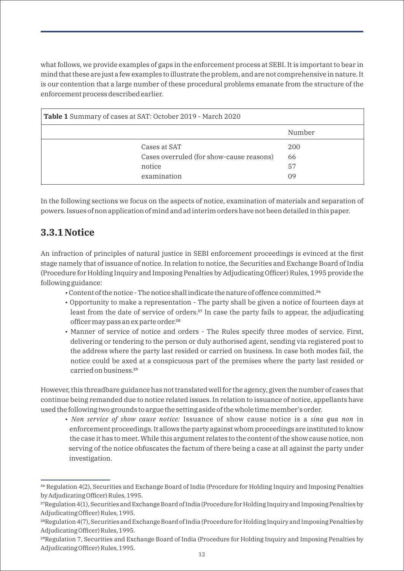what follows, we provide examples of gaps in the enforcement process at SEBI. It is important to bear in mind that these are just a few examples to illustrate the problem, and are not comprehensive in nature. It is our contention that a large number of these procedural problems emanate from the structure of the enforcement process described earlier.

| Table 1 Summary of cases at SAT: October 2019 - March 2020 |        |  |
|------------------------------------------------------------|--------|--|
|                                                            | Number |  |
| Cases at SAT                                               | 200    |  |
| Cases overruled (for show-cause reasons)                   | 66     |  |
| notice                                                     | 57     |  |
| examination                                                | 09     |  |

In the following sections we focus on the aspects of notice, examination of materials and separation of powers. Issues of non application of mind and ad interim orders have not been detailed in this paper.

#### **3.3.1 Notice**

An infraction of principles of natural justice in SEBI enforcement proceedings is evinced at the first stage namely that of issuance of notice. In relation to notice, the Securities and Exchange Board of India (Procedure for Holding Inquiry and Imposing Penalties by Adjudicating Officer) Rules, 1995 provide the following guidance:

- Content of the notice The notice shall indicate the nature of offence committed.<sup>26</sup>
- Opportunity to make a representation The party shall be given a notice of fourteen days at least from the date of service of orders.<sup>27</sup> In case the party fails to appear, the adjudicating officer may pass an ex parte order.<sup>28</sup>
- Manner of service of notice and orders The Rules specify three modes of service. First, delivering or tendering to the person or duly authorised agent, sending via registered post to the address where the party last resided or carried on business. In case both modes fail, the notice could be axed at a conspicuous part of the premises where the party last resided or carried on business.<sup>29</sup>

However, this threadbare guidance has not translated well for the agency, given the number of cases that continue being remanded due to notice related issues. In relation to issuance of notice, appellants have used the following two grounds to argue the setting aside of the whole time member's order.

• *Non service of show cause notice:* Issuance of show cause notice is a *sina qua non* in enforcement proceedings. It allows the party against whom proceedings are instituted to know the case it has to meet. While this argument relates to the content of the show cause notice, non serving of the notice obfuscates the factum of there being a case at all against the party under investigation.

<sup>&</sup>lt;sup>26</sup> Regulation 4(2), Securities and Exchange Board of India (Procedure for Holding Inquiry and Imposing Penalties by Adjudicating Officer) Rules, 1995.

<sup>&</sup>lt;sup>27</sup>Regulation 4(1), Securities and Exchange Board of India (Procedure for Holding Inquiry and Imposing Penalties by Adjudicating Officer) Rules, 1995.

<sup>&</sup>lt;sup>28</sup>Regulation 4(7), Securities and Exchange Board of India (Procedure for Holding Inquiry and Imposing Penalties by Adjudicating Officer) Rules, 1995.

<sup>&</sup>lt;sup>29</sup>Regulation 7, Securities and Exchange Board of India (Procedure for Holding Inquiry and Imposing Penalties by Adjudicating Officer) Rules, 1995.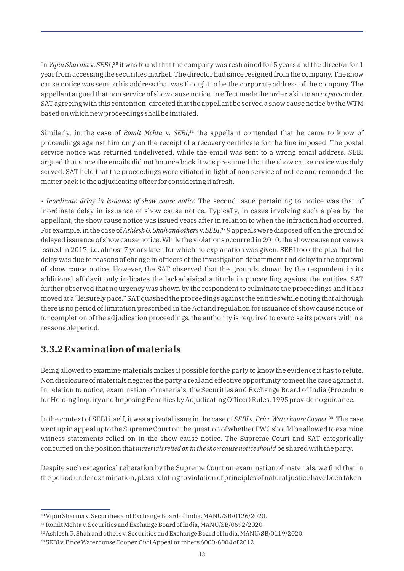In *Vipin Sharma* v. *SEBI*,<sup>30</sup> it was found that the company was restrained for 5 years and the director for 1 year from accessing the securities market. The director had since resigned from the company. The show cause notice was sent to his address that was thought to be the corporate address of the company. The appellant argued that non service of show cause notice, in effect made the order, akin to an *ex parte* order. SAT agreeing with this contention, directed that the appellant be served a show cause notice by the WTM based on which new proceedings shall be initiated.

Similarly, in the case of *Romit Mehta* v. *SEBI*,<sup>31</sup> the appellant contended that he came to know of proceedings against him only on the receipt of a recovery certificate for the fine imposed. The postal service notice was returned undelivered, while the email was sent to a wrong email address. SEBI argued that since the emails did not bounce back it was presumed that the show cause notice was duly served. SAT held that the proceedings were vitiated in light of non service of notice and remanded the matter back to the adjudicating offcer for considering it afresh.

• *Inordinate delay in issuance of show cause notice* The second issue pertaining to notice was that of inordinate delay in issuance of show cause notice. Typically, in cases involving such a plea by the appellant, the show cause notice was issued years after in relation to when the infraction had occurred. For example, in the case of *Ashlesh G. Shah and othersy. SEBI*,<sup>32</sup> 9 appeals were disposed off on the ground of delayed issuance of show cause notice. While the violations occurred in 2010, the show cause notice was issued in 2017, i.e. almost 7 years later, for which no explanation was given. SEBI took the plea that the delay was due to reasons of change in officers of the investigation department and delay in the approval of show cause notice. However, the SAT observed that the grounds shown by the respondent in its additional affidavit only indicates the lackadaisical attitude in proceeding against the entities. SAT further observed that no urgency was shown by the respondent to culminate the proceedings and it has moved at a "leisurely pace." SAT quashed the proceedings against the entities while noting that although there is no period of limitation prescribed in the Act and regulation for issuance of show cause notice or for completion of the adjudication proceedings, the authority is required to exercise its powers within a reasonable period.

#### **3.3.2 Examination of materials**

Being allowed to examine materials makes it possible for the party to know the evidence it has to refute. Non disclosure of materials negates the party a real and effective opportunity to meet the case against it. In relation to notice, examination of materials, the Securities and Exchange Board of India (Procedure for Holding Inquiry and Imposing Penalties by Adjudicating Officer) Rules, 1995 provide no guidance.

In the context of SEBI itself, it was a pivotal issue in the case of *SEBI* v. *Price Waterhouse Cooper* <sup>33</sup>. The case went up in appeal upto the Supreme Court on the question of whether PWC should be allowed to examine witness statements relied on in the show cause notice. The Supreme Court and SAT categorically concurred on the position that *materials relied on in the show cause notice should*be shared with the party.

Despite such categorical reiteration by the Supreme Court on examination of materials, we find that in the period under examination, pleas relating to violation of principles of natural justice have been taken

<sup>&</sup>lt;sup>30</sup> Vipin Sharma v. Securities and Exchange Board of India, MANU/SB/0126/2020.

<sup>&</sup>lt;sup>31</sup> Romit Mehta v. Securities and Exchange Board of India, MANU/SB/0692/2020.

³² Ashlesh G. Shah and others v. Securities and Exchange Board of India, MANU/SB/0119/2020.

<sup>33</sup> SEBI v. Price Waterhouse Cooper, Civil Appeal numbers 6000-6004 of 2012.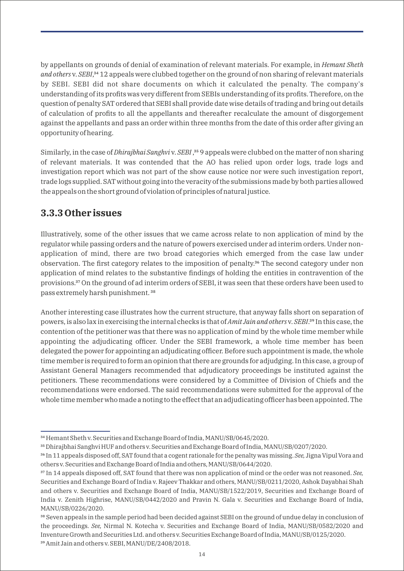by appellants on grounds of denial of examination of relevant materials. For example, in *Hemant Sheth and others v. SEBI*,<sup>34</sup> 12 appeals were clubbed together on the ground of non sharing of relevant materials by SEBI. SEBI did not share documents on which it calculated the penalty. The company's understanding of its profits was very different from SEBIs understanding of its profits. Therefore, on the question of penalty SAT ordered that SEBI shall provide date wise details of trading and bring out details of calculation of profits to all the appellants and thereafter recalculate the amount of disgorgement against the appellants and pass an order within three months from the date of this order after giving an opportunity of hearing.

Similarly, in the case of *Dhirajbhai Sanghvi* v. *SEBI*,<sup>35</sup> 9 appeals were clubbed on the matter of non sharing of relevant materials. It was contended that the AO has relied upon order logs, trade logs and investigation report which was not part of the show cause notice nor were such investigation report, trade logs supplied. SAT without going into the veracity of the submissions made by both parties allowed the appeals on the short ground of violation of principles of natural justice.

#### **3.3.3 Other issues**

Illustratively, some of the other issues that we came across relate to non application of mind by the regulator while passing orders and the nature of powers exercised under ad interim orders. Under nonapplication of mind, there are two broad categories which emerged from the case law under observation. The first category relates to the imposition of penalty.<sup>36</sup> The second category under non application of mind relates to the substantive findings of holding the entities in contravention of the provisions.<sup>37</sup> On the ground of ad interim orders of SEBI, it was seen that these orders have been used to pass extremely harsh punishment.<sup>38</sup>

Another interesting case illustrates how the current structure, that anyway falls short on separation of powers, is also lax in exercising the internal checks is that of *Amit Jain and others* v. *SEBI*.³⁹ In this case, the contention of the petitioner was that there was no application of mind by the whole time member while appointing the adjudicating officer. Under the SEBI framework, a whole time member has been delegated the power for appointing an adjudicating officer. Before such appointment is made, the whole time member is required to form an opinion that there are grounds for adjudging. In this case, a group of Assistant General Managers recommended that adjudicatory proceedings be instituted against the petitioners. These recommendations were considered by a Committee of Division of Chiefs and the recommendations were endorsed. The said recommendations were submitted for the approval of the whole time member who made a noting to the effect that an adjudicating officer has been appointed. The

<sup>&</sup>lt;sup>34</sup> Hemant Sheth v. Securities and Exchange Board of India, MANU/SB/0645/2020.

³⁵Dhirajbhai Sanghvi HUF and others v. Securities and Exchange Board of India, MANU/SB/0207/2020.

³⁶In 11 appeals disposed off, SAT found that a cogent rationale for the penalty was missing. *See,* Jigna Vipul Vora and others v. Securities and Exchange Board of India and others, MANU/SB/0644/2020.

<sup>&</sup>lt;sup>37</sup> In 14 appeals disposed off, SAT found that there was non application of mind or the order was not reasoned. *See*, Securities and Exchange Board of India v. Rajeev Thakkar and others, MANU/SB/0211/2020, Ashok Dayabhai Shah and others v. Securities and Exchange Board of India, MANU/SB/1522/2019, Securities and Exchange Board of India v. Zenith Highrise, MANU/SB/0442/2020 and Pravin N. Gala v. Securities and Exchange Board of India, MANU/SB/0226/2020.

<sup>&</sup>lt;sup>38</sup> Seven appeals in the sample period had been decided against SEBI on the ground of undue delay in conclusion of the proceedings. *See,* Nirmal N. Kotecha v. Securities and Exchange Board of India, MANU/SB/0582/2020 and Inventure Growth and Securities Ltd. and others v. Securities Exchange Board of India, MANU/SB/0125/2020. <sup>39</sup> Amit Jain and others v. SEBI, MANU/DE/2408/2018.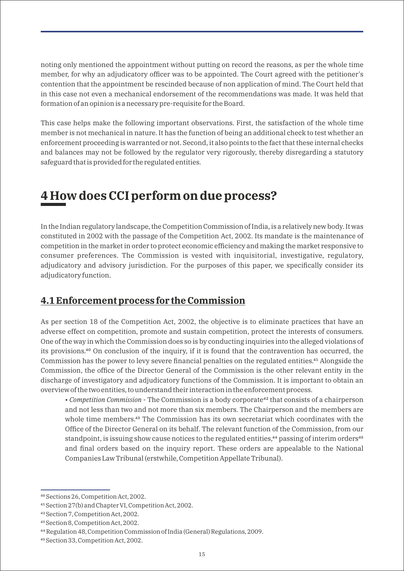noting only mentioned the appointment without putting on record the reasons, as per the whole time member, for why an adjudicatory officer was to be appointed. The Court agreed with the petitioner's contention that the appointment be rescinded because of non application of mind. The Court held that in this case not even a mechanical endorsement of the recommendations was made. It was held that formation of an opinion is a necessary pre-requisite for the Board.

This case helps make the following important observations. First, the satisfaction of the whole time member is not mechanical in nature. It has the function of being an additional check to test whether an enforcement proceeding is warranted or not. Second, it also points to the fact that these internal checks and balances may not be followed by the regulator very rigorously, thereby disregarding a statutory safeguard that is provided for the regulated entities.

### **4 How does CCI perform on due process?**

In the Indian regulatory landscape, the Competition Commission of India, is a relatively new body. It was constituted in 2002 with the passage of the Competition Act, 2002. Its mandate is the maintenance of competition in the market in order to protect economic efficiency and making the market responsive to consumer preferences. The Commission is vested with inquisitorial, investigative, regulatory, adjudicatory and advisory jurisdiction. For the purposes of this paper, we specifically consider its adjudicatory function.

#### **4.1 Enforcement process for the Commission**

As per section 18 of the Competition Act, 2002, the objective is to eliminate practices that have an adverse effect on competition, promote and sustain competition, protect the interests of consumers. One of the way in which the Commission does so is by conducting inquiries into the alleged violations of its provisions.<sup>40</sup> On conclusion of the inquiry, if it is found that the contravention has occurred, the Commission has the power to levy severe financial penalties on the regulated entities.<sup>41</sup> Alongside the Commission, the office of the Director General of the Commission is the other relevant entity in the discharge of investigatory and adjudicatory functions of the Commission. It is important to obtain an overview of the two entities, to understand their interaction in the enforcement process.

• *Competition Commission* - The Commission is a body corporate<sup>42</sup> that consists of a chairperson and not less than two and not more than six members. The Chairperson and the members are whole time members.<sup>43</sup> The Commission has its own secretariat which coordinates with the Office of the Director General on its behalf. The relevant function of the Commission, from our standpoint, is issuing show cause notices to the regulated entities,<sup>44</sup> passing of interim orders<sup>45</sup> and final orders based on the inquiry report. These orders are appealable to the National Companies Law Tribunal (erstwhile, Competition Appellate Tribunal).

⁴⁰ Sections 26, Competition Act, 2002.

<sup>&</sup>lt;sup>41</sup> Section 27(b) and Chapter VI, Competition Act, 2002.

⁴² Section 7, Competition Act, 2002.

⁴³ Section 8, Competition Act, 2002.

⁴⁴ Regulation 48, Competition Commission of India (General) Regulations, 2009.

⁴⁵ Section 33, Competition Act, 2002.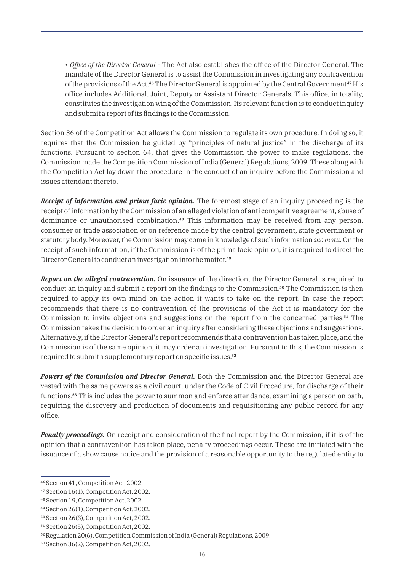• *Office of the Director General* - The Act also establishes the office of the Director General. The mandate of the Director General is to assist the Commission in investigating any contravention of the provisions of the Act.<sup>46</sup> The Director General is appointed by the Central Government<sup>47</sup> His office includes Additional, Joint, Deputy or Assistant Director Generals. This office, in totality, constitutes the investigation wing of the Commission. Its relevant function is to conduct inquiry and submit a report of its findings to the Commission.

Section 36 of the Competition Act allows the Commission to regulate its own procedure. In doing so, it requires that the Commission be guided by "principles of natural justice" in the discharge of its functions. Pursuant to section 64, that gives the Commission the power to make regulations, the Commission made the Competition Commission of India (General) Regulations, 2009. These along with the Competition Act lay down the procedure in the conduct of an inquiry before the Commission and issues attendant thereto.

*Receipt of information and prima facie opinion.* The foremost stage of an inquiry proceeding is the receipt of information by the Commission of an alleged violation of anti competitive agreement, abuse of dominance or unauthorised combination.<sup>48</sup> This information may be received from any person, consumer or trade association or on reference made by the central government, state government or statutory body. Moreover, the Commission may come in knowledge of such information *suo motu.* On the receipt of such information, if the Commission is of the prima facie opinion, it is required to direct the Director General to conduct an investigation into the matter.<sup>49</sup>

*Report on the alleged contravention.* On issuance of the direction, the Director General is required to conduct an inquiry and submit a report on the findings to the Commission.<sup>50</sup> The Commission is then required to apply its own mind on the action it wants to take on the report. In case the report recommends that there is no contravention of the provisions of the Act it is mandatory for the Commission to invite objections and suggestions on the report from the concerned parties. $5<sup>1</sup>$  The Commission takes the decision to order an inquiry after considering these objections and suggestions. Alternatively, if the Director General's report recommends that a contravention has taken place, and the Commission is of the same opinion, it may order an investigation. Pursuant to this, the Commission is required to submit a supplementary report on specific issues.<sup>52</sup>

**Powers of the Commission and Director General.** Both the Commission and the Director General are vested with the same powers as a civil court, under the Code of Civil Procedure, for discharge of their functions.<sup>53</sup> This includes the power to summon and enforce attendance, examining a person on oath, requiring the discovery and production of documents and requisitioning any public record for any office.

*Penalty proceedings.* On receipt and consideration of the final report by the Commission, if it is of the opinion that a contravention has taken place, penalty proceedings occur. These are initiated with the issuance of a show cause notice and the provision of a reasonable opportunity to the regulated entity to

⁴⁶ Section 41, Competition Act, 2002.

⁴⁷Section 16(1), Competition Act, 2002.

<sup>48</sup> Section 19, Competition Act, 2002.

⁴⁹Section 26(1), Competition Act, 2002.

⁵⁰Section 26(3), Competition Act, 2002.

 $51$  Section 26(5), Competition Act, 2002.

⁵²Regulation 20(6), Competition Commission of India (General) Regulations, 2009.

<sup>&</sup>lt;sup>53</sup> Section 36(2), Competition Act, 2002.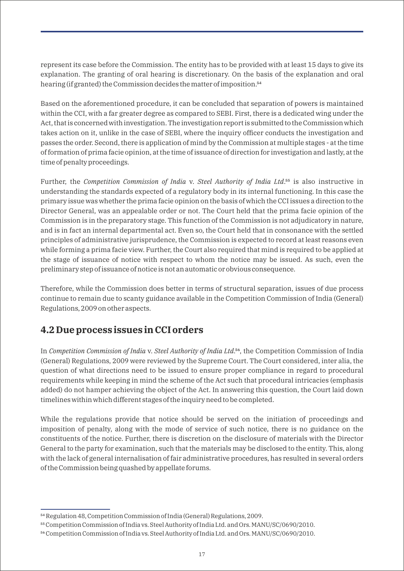represent its case before the Commission. The entity has to be provided with at least 15 days to give its explanation. The granting of oral hearing is discretionary. On the basis of the explanation and oral hearing (if granted) the Commission decides the matter of imposition.<sup>54</sup>

Based on the aforementioned procedure, it can be concluded that separation of powers is maintained within the CCI, with a far greater degree as compared to SEBI. First, there is a dedicated wing under the Act, that is concerned with investigation. The investigation report is submitted to the Commission which takes action on it, unlike in the case of SEBI, where the inquiry officer conducts the investigation and passes the order. Second, there is application of mind by the Commission at multiple stages - at the time of formation of prima facie opinion, at the time of issuance of direction for investigation and lastly, at the time of penalty proceedings.

Further, the *Competition Commission of India* v. *Steel Authority of India Ltd*.⁵⁵ is also instructive in understanding the standards expected of a regulatory body in its internal functioning. In this case the primary issue was whether the prima facie opinion on the basis of which the CCI issues a direction to the Director General, was an appealable order or not. The Court held that the prima facie opinion of the Commission is in the preparatory stage. This function of the Commission is not adjudicatory in nature, and is in fact an internal departmental act. Even so, the Court held that in consonance with the settled principles of administrative jurisprudence, the Commission is expected to record at least reasons even while forming a prima facie view. Further, the Court also required that mind is required to be applied at the stage of issuance of notice with respect to whom the notice may be issued. As such, even the preliminary step of issuance of notice is not an automatic or obvious consequence.

Therefore, while the Commission does better in terms of structural separation, issues of due process continue to remain due to scanty guidance available in the Competition Commission of India (General) Regulations, 2009 on other aspects.

#### **4.2 Due process issues in CCI orders**

In *Competition Commission of India* v. *Steel Authority of India Ltd*.<sup>56</sup>, the Competition Commission of India (General) Regulations, 2009 were reviewed by the Supreme Court. The Court considered, inter alia, the question of what directions need to be issued to ensure proper compliance in regard to procedural requirements while keeping in mind the scheme of the Act such that procedural intricacies (emphasis added) do not hamper achieving the object of the Act. In answering this question, the Court laid down timelines within which different stages of the inquiry need to be completed.

While the regulations provide that notice should be served on the initiation of proceedings and imposition of penalty, along with the mode of service of such notice, there is no guidance on the constituents of the notice. Further, there is discretion on the disclosure of materials with the Director General to the party for examination, such that the materials may be disclosed to the entity. This, along with the lack of general internalisation of fair administrative procedures, has resulted in several orders of the Commission being quashed by appellate forums.

⁵⁴ Regulation 48, Competition Commission of India (General) Regulations, 2009.

⁵⁵ Competition Commission of India vs. Steel Authority of India Ltd. and Ors. MANU/SC/0690/2010.

⁵⁶Competition Commission of India vs. Steel Authority of India Ltd. and Ors. MANU/SC/0690/2010.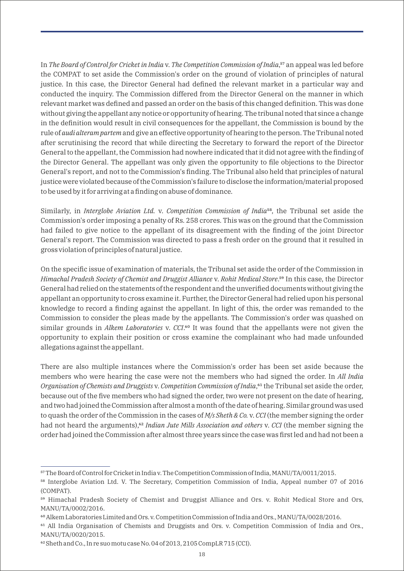In *The Board of Control for Cricket in India* v. *The Competition Commission of India*,<sup>57</sup> an appeal was led before the COMPAT to set aside the Commission's order on the ground of violation of principles of natural justice. In this case, the Director General had defined the relevant market in a particular way and conducted the inquiry. The Commission differed from the Director General on the manner in which relevant market was defined and passed an order on the basis of this changed definition. This was done without giving the appellant any notice or opportunity of hearing. The tribunal noted that since a change in the definition would result in civil consequences for the appellant, the Commission is bound by the rule of *audi alteram partem* and give an effective opportunity of hearing to the person. The Tribunal noted after scrutinising the record that while directing the Secretary to forward the report of the Director General to the appellant, the Commission had nowhere indicated that it did not agree with the finding of the Director General. The appellant was only given the opportunity to file objections to the Director General's report, and not to the Commission's finding. The Tribunal also held that principles of natural justice were violated because of the Commission's failure to disclose the information/material proposed to be used by it for arriving at a finding on abuse of dominance.

Similarly, in *Interglobe Aviation Ltd.* v. *Competition Commission of India*<sup>58</sup>, the Tribunal set aside the Commission's order imposing a penalty of Rs. 258 crores. This was on the ground that the Commission had failed to give notice to the appellant of its disagreement with the finding of the joint Director General's report. The Commission was directed to pass a fresh order on the ground that it resulted in gross violation of principles of natural justice.

On the specific issue of examination of materials, the Tribunal set aside the order of the Commission in *Himachal Pradesh Society of Chemist and Druggist Alliance* v. *Rohit Medical Store*.<sup>59</sup> In this case, the Director General had relied on the statements of the respondent and the unverified documents without giving the appellant an opportunity to cross examine it. Further, the Director General had relied upon his personal knowledge to record a finding against the appellant. In light of this, the order was remanded to the Commission to consider the pleas made by the appellants. The Commission's order was quashed on similar grounds in *Alkem Laboratories v. CCI*.<sup>60</sup> It was found that the appellants were not given the opportunity to explain their position or cross examine the complainant who had made unfounded allegations against the appellant.

There are also multiple instances where the Commission's order has been set aside because the members who were hearing the case were not the members who had signed the order. In *All India Organisation of Chemists and Druggists* v. *Competition Commission of India*,<sup>61</sup> the Tribunal set aside the order, because out of the five members who had signed the order, two were not present on the date of hearing, and two had joined the Commission after almost a month of the date of hearing. Similar ground was used to quash the order of the Commission in the cases of *M/s Sheth & Co.* v. *CCI* (the member signing the order had not heard the arguments),<sup>62</sup> *Indian Jute Mills Association and others* v. *CCI* (the member signing the order had joined the Commission after almost three years since the case was first led and had not been a

<sup>&</sup>lt;sup>57</sup> The Board of Control for Cricket in India v. The Competition Commission of India, MANU/TA/0011/2015.

<sup>&</sup>lt;sup>58</sup> Interglobe Aviation Ltd. V. The Secretary, Competition Commission of India, Appeal number 07 of 2016 (COMPAT).

<sup>&</sup>lt;sup>59</sup> Himachal Pradesh Society of Chemist and Druggist Alliance and Ors. v. Rohit Medical Store and Ors, MANU/TA/0002/2016.

⁶⁰Alkem Laboratories Limited and Ors. v. Competition Commission of India and Ors., MANU/TA/0028/2016.

<sup>&</sup>lt;sup>61</sup> All India Organisation of Chemists and Druggists and Ors. v. Competition Commission of India and Ors., MANU/TA/0020/2015.

<sup>&</sup>lt;sup>62</sup> Sheth and Co., In re suo motu case No. 04 of 2013, 2105 CompLR 715 (CCI).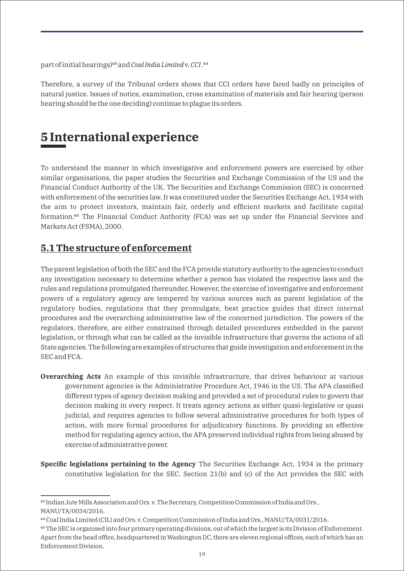part of initial hearings)<sup>63</sup> and *Coal India Limited* v. *CCI*.<sup>64</sup>

Therefore, a survey of the Tribunal orders shows that CCI orders have fared badly on principles of natural justice. Issues of notice, examination, cross examination of materials and fair hearing (person hearing should be the one deciding) continue to plague its orders.

### **5 International experience**

To understand the manner in which investigative and enforcement powers are exercised by other similar organisations, the paper studies the Securities and Exchange Commission of the US and the Financial Conduct Authority of the UK. The Securities and Exchange Commission (SEC) is concerned with enforcement of the securities law. It was constituted under the Securities Exchange Act, 1934 with the aim to protect investors, maintain fair, orderly and efficient markets and facilitate capital formation.<sup>65</sup> The Financial Conduct Authority (FCA) was set up under the Financial Services and Markets Act (FSMA), 2000.

#### **5.1 The structure of enforcement**

The parent legislation of both the SEC and the FCA provide statutory authority to the agencies to conduct any investigation necessary to determine whether a person has violated the respective laws and the rules and regulations promulgated thereunder. However, the exercise of investigative and enforcement powers of a regulatory agency are tempered by various sources such as parent legislation of the regulatory bodies, regulations that they promulgate, best practice guides that direct internal procedures and the overarching administrative law of the concerned jurisdiction. The powers of the regulators, therefore, are either constrained through detailed procedures embedded in the parent legislation, or through what can be called as the invisible infrastructure that governs the actions of all State agencies. The following are examples of structures that guide investigation and enforcement in the SEC and FCA.

- **Overarching Acts** An example of this invisible infrastructure, that drives behaviour at various government agencies is the Administrative Procedure Act, 1946 in the US. The APA classified different types of agency decision making and provided a set of procedural rules to govern that decision making in every respect. It treats agency actions as either quasi-legislative or quasi judicial, and requires agencies to follow several administrative procedures for both types of action, with more formal procedures for adjudicatory functions. By providing an effective method for regulating agency action, the APA preserved individual rights from being abused by exercise of administrative power.
- **Specific legislations pertaining to the Agency** The Securities Exchange Act, 1934 is the primary constitutive legislation for the SEC. Section 21(b) and (c) of the Act provides the SEC with

<sup>&</sup>lt;sup>63</sup> Indian Jute Mills Association and Ors. v. The Secretary, Competition Commission of India and Ors., MANU/TA/0034/2016.

<sup>&</sup>lt;sup>64</sup> Coal India Limited (CIL) and Ors. v. Competition Commission of India and Ors., MANU/TA/0031/2016.

⁶⁵ The SEC is organised into four primary operating divisions, out of which the largest is its Division of Enforcement. Apart from the head office, headquartered in Washington DC, there are eleven regional offices, each of which has an Enforcement Division.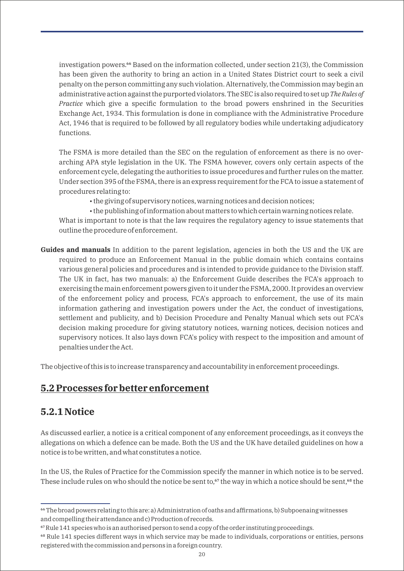investigation powers.<sup>66</sup> Based on the information collected, under section 21(3), the Commission has been given the authority to bring an action in a United States District court to seek a civil penalty on the person committing any such violation. Alternatively, the Commission may begin an administrative action against the purported violators. The SEC is also required to set up *The Rules of Practice* which give a specific formulation to the broad powers enshrined in the Securities Exchange Act, 1934. This formulation is done in compliance with the Administrative Procedure Act, 1946 that is required to be followed by all regulatory bodies while undertaking adjudicatory functions.

The FSMA is more detailed than the SEC on the regulation of enforcement as there is no overarching APA style legislation in the UK. The FSMA however, covers only certain aspects of the enforcement cycle, delegating the authorities to issue procedures and further rules on the matter. Under section 395 of the FSMA, there is an express requirement for the FCA to issue a statement of procedures relating to:

• the giving of supervisory notices, warning notices and decision notices;

• the publishing of information about matters to which certain warning notices relate.

What is important to note is that the law requires the regulatory agency to issue statements that outline the procedure of enforcement.

**Guides and manuals** In addition to the parent legislation, agencies in both the US and the UK are required to produce an Enforcement Manual in the public domain which contains contains various general policies and procedures and is intended to provide guidance to the Division staff. The UK in fact, has two manuals: a) the Enforcement Guide describes the FCA's approach to exercising the main enforcement powers given to it under the FSMA, 2000. It provides an overview of the enforcement policy and process, FCA's approach to enforcement, the use of its main information gathering and investigation powers under the Act, the conduct of investigations, settlement and publicity, and b) Decision Procedure and Penalty Manual which sets out FCA's decision making procedure for giving statutory notices, warning notices, decision notices and supervisory notices. It also lays down FCA's policy with respect to the imposition and amount of penalties under the Act.

The objective of this is to increase transparency and accountability in enforcement proceedings.

### **5.2 Processes for better enforcement**

#### **5.2.1 Notice**

As discussed earlier, a notice is a critical component of any enforcement proceedings, as it conveys the allegations on which a defence can be made. Both the US and the UK have detailed guidelines on how a notice is to be written, and what constitutes a notice.

In the US, the Rules of Practice for the Commission specify the manner in which notice is to be served. These include rules on who should the notice be sent to, $\frac{67}{7}$  the way in which a notice should be sent, $\frac{68}{7}$  the

⁶⁶ The broad powers relating to this are: a) Administration of oaths and affirmations, b) Subpoenaing witnesses and compelling their attendance and c) Production of records.

⁶⁷Rule 141 species who is an authorised person to send a copy of the order instituting proceedings.

<sup>&</sup>lt;sup>68</sup> Rule 141 species different ways in which service may be made to individuals, corporations or entities, persons registered with the commission and persons in a foreign country.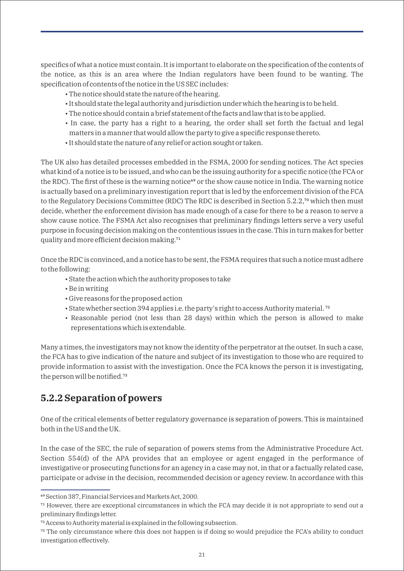specifics of what a notice must contain. It is important to elaborate on the specification of the contents of the notice, as this is an area where the Indian regulators have been found to be wanting. The specification of contents of the notice in the US SEC includes:

- The notice should state the nature of the hearing.
- It should state the legal authority and jurisdiction under which the hearing is to be held.
- The notice should contain a brief statement of the facts and law that is to be applied.
- In case, the party has a right to a hearing, the order shall set forth the factual and legal matters in a manner that would allow the party to give a specific response thereto.
- It should state the nature of any relief or action sought or taken.

The UK also has detailed processes embedded in the FSMA, 2000 for sending notices. The Act species what kind of a notice is to be issued, and who can be the issuing authority for a specific notice (the FCA or the RDC). The first of these is the warning notice<sup>69</sup> or the show cause notice in India. The warning notice is actually based on a preliminary investigation report that is led by the enforcement division of the FCA to the Regulatory Decisions Committee (RDC) The RDC is described in Section 5.2.2,<sup>70</sup> which then must decide, whether the enforcement division has made enough of a case for there to be a reason to serve a show cause notice. The FSMA Act also recognises that preliminary findings letters serve a very useful purpose in focusing decision making on the contentious issues in the case. This in turn makes for better quality and more efficient decision making.<sup>71</sup>

Once the RDC is convinced, and a notice has to be sent, the FSMA requires that such a notice must adhere to the following:

- State the action which the authority proposes to take
- Be in writing
- Give reasons for the proposed action
- State whether section 394 applies i.e. the party's right to access Authority material.  $^{72}$
- Reasonable period (not less than 28 days) within which the person is allowed to make representations which is extendable.

Many a times, the investigators may not know the identity of the perpetrator at the outset. In such a case, the FCA has to give indication of the nature and subject of its investigation to those who are required to provide information to assist with the investigation. Once the FCA knows the person it is investigating, the person will be notified.<sup>73</sup>

### **5.2.2 Separation of powers**

One of the critical elements of better regulatory governance is separation of powers. This is maintained both in the US and the UK.

In the case of the SEC, the rule of separation of powers stems from the Administrative Procedure Act. Section 554(d) of the APA provides that an employee or agent engaged in the performance of investigative or prosecuting functions for an agency in a case may not, in that or a factually related case, participate or advise in the decision, recommended decision or agency review. In accordance with this

⁶⁹ Section 387, Financial Services and Markets Act, 2000.

<sup>&</sup>lt;sup>71</sup> However, there are exceptional circumstances in which the FCA may decide it is not appropriate to send out a preliminary findings letter.

⁷² Access to Authority material is explained in the following subsection.

<sup>&</sup>lt;sup>73</sup> The only circumstance where this does not happen is if doing so would prejudice the FCA's ability to conduct investigation effectively.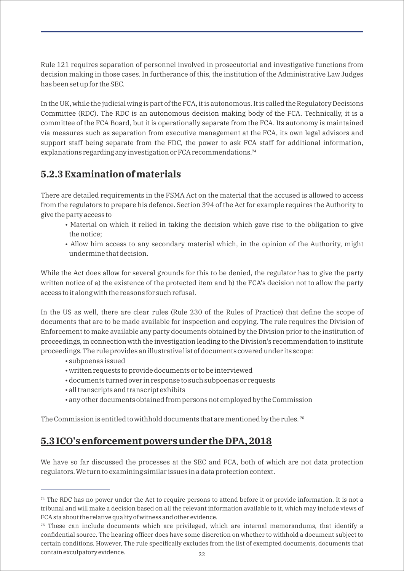Rule 121 requires separation of personnel involved in prosecutorial and investigative functions from decision making in those cases. In furtherance of this, the institution of the Administrative Law Judges has been set up for the SEC.

In the UK, while the judicial wing is part of the FCA, it is autonomous. It is called the Regulatory Decisions Committee (RDC). The RDC is an autonomous decision making body of the FCA. Technically, it is a committee of the FCA Board, but it is operationally separate from the FCA. Its autonomy is maintained via measures such as separation from executive management at the FCA, its own legal advisors and support staff being separate from the FDC, the power to ask FCA staff for additional information, explanations regarding any investigation or FCA recommendations.<sup>74</sup>

#### **5.2.3 Examination of materials**

There are detailed requirements in the FSMA Act on the material that the accused is allowed to access from the regulators to prepare his defence. Section 394 of the Act for example requires the Authority to give the party access to

- Material on which it relied in taking the decision which gave rise to the obligation to give the notice;
- Allow him access to any secondary material which, in the opinion of the Authority, might undermine that decision.

While the Act does allow for several grounds for this to be denied, the regulator has to give the party written notice of a) the existence of the protected item and b) the FCA's decision not to allow the party access to it along with the reasons for such refusal.

In the US as well, there are clear rules (Rule 230 of the Rules of Practice) that define the scope of documents that are to be made available for inspection and copying. The rule requires the Division of Enforcement to make available any party documents obtained by the Division prior to the institution of proceedings, in connection with the investigation leading to the Division's recommendation to institute proceedings. The rule provides an illustrative list of documents covered under its scope:

- subpoenas issued
- written requests to provide documents or to be interviewed
- documents turned over in response to such subpoenas or requests
- all transcripts and transcript exhibits
- any other documents obtained from persons not employed by the Commission

The Commission is entitled to withhold documents that are mentioned by the rules.<sup>75</sup>

#### **5.3 ICO's enforcement powers under the DPA, 2018**

We have so far discussed the processes at the SEC and FCA, both of which are not data protection regulators. We turn to examining similar issues in a data protection context.

<sup>&</sup>lt;sup>74</sup> The RDC has no power under the Act to require persons to attend before it or provide information. It is not a tribunal and will make a decision based on all the relevant information available to it, which may include views of FCA sta about the relative quality of witness and other evidence.

⁷⁵ These can include documents which are privileged, which are internal memorandums, that identify a confidential source. The hearing officer does have some discretion on whether to withhold a document subject to certain conditions. However, The rule specifically excludes from the list of exempted documents, documents that contain exculpatory evidence.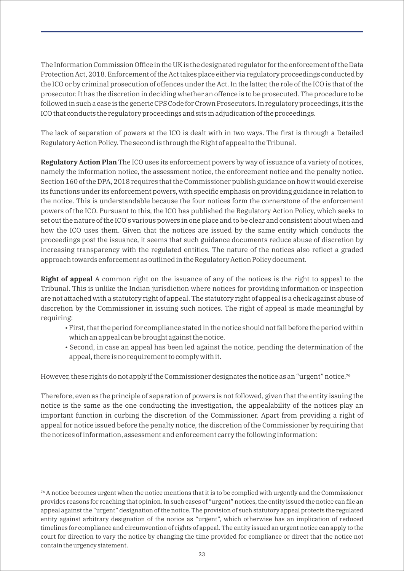The Information Commission Office in the UK is the designated regulator for the enforcement of the Data Protection Act, 2018. Enforcement of the Act takes place either via regulatory proceedings conducted by the ICO or by criminal prosecution of offences under the Act. In the latter, the role of the ICO is that of the prosecutor. It has the discretion in deciding whether an offence is to be prosecuted. The procedure to be followed in such a case is the generic CPS Code for Crown Prosecutors. In regulatory proceedings, it is the ICO that conducts the regulatory proceedings and sits in adjudication of the proceedings.

The lack of separation of powers at the ICO is dealt with in two ways. The first is through a Detailed Regulatory Action Policy. The second is through the Right of appeal to the Tribunal.

**Regulatory Action Plan** The ICO uses its enforcement powers by way of issuance of a variety of notices, namely the information notice, the assessment notice, the enforcement notice and the penalty notice. Section 160 of the DPA, 2018 requires that the Commissioner publish guidance on how it would exercise its functions under its enforcement powers, with specific emphasis on providing guidance in relation to the notice. This is understandable because the four notices form the cornerstone of the enforcement powers of the ICO. Pursuant to this, the ICO has published the Regulatory Action Policy, which seeks to set out the nature of the ICO's various powers in one place and to be clear and consistent about when and how the ICO uses them. Given that the notices are issued by the same entity which conducts the proceedings post the issuance, it seems that such guidance documents reduce abuse of discretion by increasing transparency with the regulated entities. The nature of the notices also reflect a graded approach towards enforcement as outlined in the Regulatory Action Policy document.

**Right of appeal** A common right on the issuance of any of the notices is the right to appeal to the Tribunal. This is unlike the Indian jurisdiction where notices for providing information or inspection are not attached with a statutory right of appeal. The statutory right of appeal is a check against abuse of discretion by the Commissioner in issuing such notices. The right of appeal is made meaningful by requiring:

- First, that the period for compliance stated in the notice should not fall before the period within which an appeal can be brought against the notice.
- Second, in case an appeal has been led against the notice, pending the determination of the appeal, there is no requirement to comply with it.

However, these rights do not apply if the Commissioner designates the notice as an "urgent" notice.<sup>76</sup>

Therefore, even as the principle of separation of powers is not followed, given that the entity issuing the notice is the same as the one conducting the investigation, the appealability of the notices play an important function in curbing the discretion of the Commissioner. Apart from providing a right of appeal for notice issued before the penalty notice, the discretion of the Commissioner by requiring that the notices of information, assessment and enforcement carry the following information:

<sup>&</sup>lt;sup>76</sup> A notice becomes urgent when the notice mentions that it is to be complied with urgently and the Commissioner provides reasons for reaching that opinion. In such cases of "urgent" notices, the entity issued the notice can file an appeal against the "urgent" designation of the notice. The provision of such statutory appeal protects the regulated entity against arbitrary designation of the notice as "urgent", which otherwise has an implication of reduced timelines for compliance and circumvention of rights of appeal. The entity issued an urgent notice can apply to the court for direction to vary the notice by changing the time provided for compliance or direct that the notice not contain the urgency statement.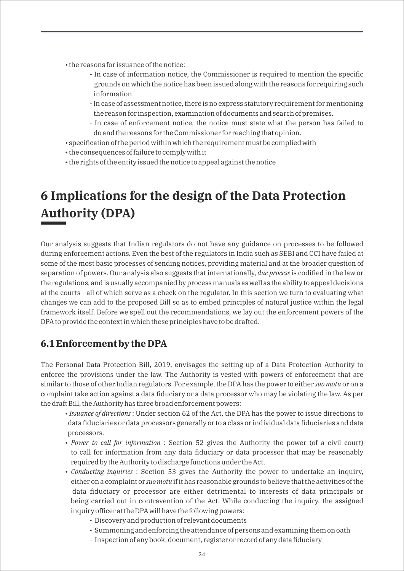- the reasons for issuance of the notice:
	- In case of information notice, the Commissioner is required to mention the specific grounds on which the notice has been issued along with the reasons for requiring such information.
	- In case of assessment notice, there is no express statutory requirement for mentioning the reason for inspection, examination of documents and search of premises.
	- In case of enforcement notice, the notice must state what the person has failed to do and the reasons for the Commissioner for reaching that opinion.
- specification of the period within which the requirement must be complied with
- the consequences of failure to comply with it
- the rights of the entity issued the notice to appeal against the notice

# **6 Implications for the design of the Data Protection Authority (DPA)**

Our analysis suggests that Indian regulators do not have any guidance on processes to be followed during enforcement actions. Even the best of the regulators in India such as SEBI and CCI have failed at some of the most basic processes of sending notices, providing material and at the broader question of separation of powers. Our analysis also suggests that internationally, *due process* is codified in the law or the regulations, and is usually accompanied by process manuals as well as the ability to appeal decisions at the courts - all of which serve as a check on the regulator. In this section we turn to evaluating what changes we can add to the proposed Bill so as to embed principles of natural justice within the legal framework itself. Before we spell out the recommendations, we lay out the enforcement powers of the DPA to provide the context in which these principles have to be drafted.

### **6.1 Enforcement by the DPA**

The Personal Data Protection Bill, 2019, envisages the setting up of a Data Protection Authority to enforce the provisions under the law. The Authority is vested with powers of enforcement that are similar to those of other Indian regulators. For example, the DPA has the power to either *suo motu* or on a complaint take action against a data fiduciary or a data processor who may be violating the law. As per the draft Bill, the Authority has three broad enforcement powers:

- *Issuance of directions* : Under section 62 of the Act, the DPA has the power to issue directions to data fiduciaries or data processors generally or to a class or individual data fiduciaries and data processors.
- *Power to call for information* : Section 52 gives the Authority the power (of a civil court) to call for information from any data fiduciary or data processor that may be reasonably required by the Authority to discharge functions under the Act.
- *Conducting inquiries* : Section 53 gives the Authority the power to undertake an inquiry, either on a complaint or *suo motu* if it has reasonable grounds to believe that the activities of the data fiduciary or processor are either detrimental to interests of data principals or being carried out in contravention of the Act. While conducting the inquiry, the assigned inquiry officer at the DPA will have the following powers:
	- Discovery and production of relevant documents
	- Summoning and enforcing the attendance of persons and examining them on oath
	- Inspection of any book, document, register or record of any data fiduciary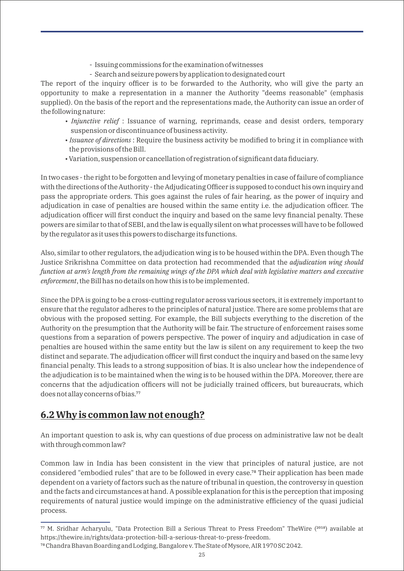- Issuing commissions for the examination of witnesses
- Search and seizure powers by application to designated court

The report of the inquiry officer is to be forwarded to the Authority, who will give the party an opportunity to make a representation in a manner the Authority "deems reasonable" (emphasis supplied). On the basis of the report and the representations made, the Authority can issue an order of the following nature:

- *Injunctive relief* : Issuance of warning, reprimands, cease and desist orders, temporary suspension or discontinuance of business activity.
- *Issuance of directions* : Require the business activity be modified to bring it in compliance with the provisions of the Bill.
- Variation, suspension or cancellation of registration of significant data fiduciary.

In two cases - the right to be forgotten and levying of monetary penalties in case of failure of compliance with the directions of the Authority - the Adjudicating Officer is supposed to conduct his own inquiry and pass the appropriate orders. This goes against the rules of fair hearing, as the power of inquiry and adjudication in case of penalties are housed within the same entity i.e. the adjudication officer. The adjudication officer will first conduct the inquiry and based on the same levy financial penalty. These powers are similar to that of SEBI, and the law is equally silent on what processes will have to be followed by the regulator as it uses this powers to discharge its functions.

Also, similar to other regulators, the adjudication wing is to be housed within the DPA. Even though The Justice Srikrishna Committee on data protection had recommended that the *adjudication wing should function at arm's length from the remaining wings of the DPA which deal with legislative matters and executive enforcement*, the Bill has no details on how this is to be implemented.

Since the DPA is going to be a cross-cutting regulator across various sectors, it is extremely important to ensure that the regulator adheres to the principles of natural justice. There are some problems that are obvious with the proposed setting. For example, the Bill subjects everything to the discretion of the Authority on the presumption that the Authority will be fair. The structure of enforcement raises some questions from a separation of powers perspective. The power of inquiry and adjudication in case of penalties are housed within the same entity but the law is silent on any requirement to keep the two distinct and separate. The adjudication officer will first conduct the inquiry and based on the same levy financial penalty. This leads to a strong supposition of bias. It is also unclear how the independence of the adjudication is to be maintained when the wing is to be housed within the DPA. Moreover, there are concerns that the adjudication officers will not be judicially trained officers, but bureaucrats, which does not allay concerns of bias.<sup>77</sup>

### **6.2 Why is common law not enough?**

An important question to ask is, why can questions of due process on administrative law not be dealt with through common law?

Common law in India has been consistent in the view that principles of natural justice, are not considered "embodied rules" that are to be followed in every case.<sup>78</sup> Their application has been made dependent on a variety of factors such as the nature of tribunal in question, the controversy in question and the facts and circumstances at hand. A possible explanation for this is the perception that imposing requirements of natural justice would impinge on the administrative efficiency of the quasi judicial process.

<sup>&</sup>lt;sup>77</sup> M. Sridhar Acharyulu, "Data Protection Bill a Serious Threat to Press Freedom" TheWire (<sup>2018</sup>) available at https://thewire.in/rights/data-protection-bill-a-serious-threat-to-press-freedom.

⁷⁸ Chandra Bhavan Boarding and Lodging, Bangalore v. The State of Mysore, AIR 1970 SC 2042.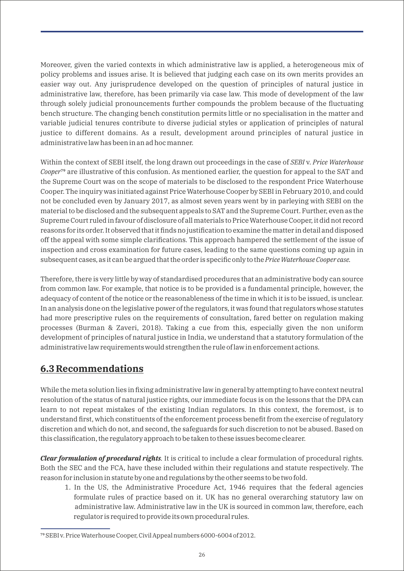Moreover, given the varied contexts in which administrative law is applied, a heterogeneous mix of policy problems and issues arise. It is believed that judging each case on its own merits provides an easier way out. Any jurisprudence developed on the question of principles of natural justice in administrative law, therefore, has been primarily via case law. This mode of development of the law through solely judicial pronouncements further compounds the problem because of the fluctuating bench structure. The changing bench constitution permits little or no specialisation in the matter and variable judicial tenures contribute to diverse judicial styles or application of principles of natural justice to different domains. As a result, development around principles of natural justice in administrative law has been in an ad hoc manner.

Within the context of SEBI itself, the long drawn out proceedings in the case of *SEBI* v. *Price Waterhouse Cooper*<sup> $\sigma$ </sup> are illustrative of this confusion. As mentioned earlier, the question for appeal to the SAT and the Supreme Court was on the scope of materials to be disclosed to the respondent Price Waterhouse Cooper. The inquiry was initiated against Price Waterhouse Cooper by SEBI in February 2010, and could not be concluded even by January 2017, as almost seven years went by in parleying with SEBI on the material to be disclosed and the subsequent appeals to SAT and the Supreme Court. Further, even as the Supreme Court ruled in favour of disclosure of all materials to Price Waterhouse Cooper, it did not record reasons for its order. It observed that it finds no justification to examine the matter in detail and disposed off the appeal with some simple clarifications. This approach hampered the settlement of the issue of inspection and cross examination for future cases, leading to the same questions coming up again in subsequent cases, as it can be argued that the order is specific only to the *Price Waterhouse Cooper case.*

Therefore, there is very little by way of standardised procedures that an administrative body can source from common law. For example, that notice is to be provided is a fundamental principle, however, the adequacy of content of the notice or the reasonableness of the time in which it is to be issued, is unclear. In an analysis done on the legislative power of the regulators, it was found that regulators whose statutes had more prescriptive rules on the requirements of consultation, fared better on regulation making processes (Burman & Zaveri, 2018). Taking a cue from this, especially given the non uniform development of principles of natural justice in India, we understand that a statutory formulation of the administrative law requirements would strengthen the rule of law in enforcement actions.

#### **6.3 Recommendations**

While the meta solution lies in fixing administrative law in general by attempting to have context neutral resolution of the status of natural justice rights, our immediate focus is on the lessons that the DPA can learn to not repeat mistakes of the existing Indian regulators. In this context, the foremost, is to understand first, which constituents of the enforcement process benefit from the exercise of regulatory discretion and which do not, and second, the safeguards for such discretion to not be abused. Based on this classification, the regulatory approach to be taken to these issues become clearer.

*Clear formulation of procedural rights.* It is critical to include a clear formulation of procedural rights. Both the SEC and the FCA, have these included within their regulations and statute respectively. The reason for inclusion in statute by one and regulations by the other seems to be two fold.

1. In the US, the Administrative Procedure Act, 1946 requires that the federal agencies formulate rules of practice based on it. UK has no general overarching statutory law on administrative law. Administrative law in the UK is sourced in common law, therefore, each regulator is required to provide its own procedural rules.

⁷⁹SEBI v. Price Waterhouse Cooper, Civil Appeal numbers 6000-6004 of 2012.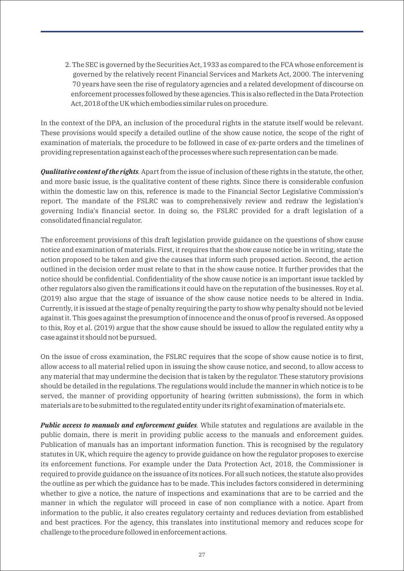2. The SEC is governed by the Securities Act, 1933 as compared to the FCA whose enforcement is governed by the relatively recent Financial Services and Markets Act, 2000. The intervening 70 years have seen the rise of regulatory agencies and a related development of discourse on enforcement processes followed by these agencies. This is also reflected in the Data Protection Act, 2018 of the UK which embodies similar rules on procedure.

In the context of the DPA, an inclusion of the procedural rights in the statute itself would be relevant. These provisions would specify a detailed outline of the show cause notice, the scope of the right of examination of materials, the procedure to be followed in case of ex-parte orders and the timelines of providing representation against each of the processes where such representation can be made.

*Qualitative content of the rights.* Apart from the issue of inclusion of these rights in the statute, the other, and more basic issue, is the qualitative content of these rights. Since there is considerable confusion within the domestic law on this, reference is made to the Financial Sector Legislative Commission's report. The mandate of the FSLRC was to comprehensively review and redraw the legislation's governing India's financial sector. In doing so, the FSLRC provided for a draft legislation of a consolidated financial regulator.

The enforcement provisions of this draft legislation provide guidance on the questions of show cause notice and examination of materials. First, it requires that the show cause notice be in writing, state the action proposed to be taken and give the causes that inform such proposed action. Second, the action outlined in the decision order must relate to that in the show cause notice. It further provides that the notice should be confidential. Confidentiality of the show cause notice is an important issue tackled by other regulators also given the ramifications it could have on the reputation of the businesses. Roy et al. (2019) also argue that the stage of issuance of the show cause notice needs to be altered in India. Currently, it is issued at the stage of penalty requiring the party to show why penalty should not be levied against it. This goes against the presumption of innocence and the onus of proof is reversed. As opposed to this, Roy et al. (2019) argue that the show cause should be issued to allow the regulated entity why a case against it should not be pursued.

On the issue of cross examination, the FSLRC requires that the scope of show cause notice is to first, allow access to all material relied upon in issuing the show cause notice, and second, to allow access to any material that may undermine the decision that is taken by the regulator. These statutory provisions should be detailed in the regulations. The regulations would include the manner in which notice is to be served, the manner of providing opportunity of hearing (written submissions), the form in which materials are to be submitted to the regulated entity under its right of examination of materials etc.

*Public access to manuals and enforcement guides.* While statutes and regulations are available in the public domain, there is merit in providing public access to the manuals and enforcement guides. Publication of manuals has an important information function. This is recognised by the regulatory statutes in UK, which require the agency to provide guidance on how the regulator proposes to exercise its enforcement functions. For example under the Data Protection Act, 2018, the Commissioner is required to provide guidance on the issuance of its notices. For all such notices, the statute also provides the outline as per which the guidance has to be made. This includes factors considered in determining whether to give a notice, the nature of inspections and examinations that are to be carried and the manner in which the regulator will proceed in case of non compliance with a notice. Apart from information to the public, it also creates regulatory certainty and reduces deviation from established and best practices. For the agency, this translates into institutional memory and reduces scope for challenge to the procedure followed in enforcement actions.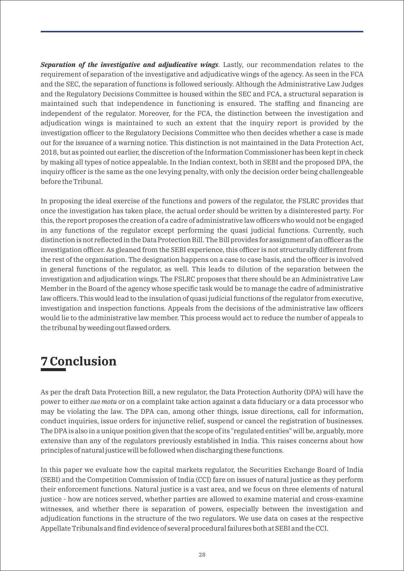*Separation of the investigative and adjudicative wings*. Lastly, our recommendation relates to the requirement of separation of the investigative and adjudicative wings of the agency. As seen in the FCA and the SEC, the separation of functions is followed seriously. Although the Administrative Law Judges and the Regulatory Decisions Committee is housed within the SEC and FCA, a structural separation is maintained such that independence in functioning is ensured. The staffing and financing are independent of the regulator. Moreover, for the FCA, the distinction between the investigation and adjudication wings is maintained to such an extent that the inquiry report is provided by the investigation officer to the Regulatory Decisions Committee who then decides whether a case is made out for the issuance of a warning notice. This distinction is not maintained in the Data Protection Act, 2018, but as pointed out earlier, the discretion of the Information Commissioner has been kept in check by making all types of notice appealable. In the Indian context, both in SEBI and the proposed DPA, the inquiry officer is the same as the one levying penalty, with only the decision order being challengeable before the Tribunal.

In proposing the ideal exercise of the functions and powers of the regulator, the FSLRC provides that once the investigation has taken place, the actual order should be written by a disinterested party. For this, the report proposes the creation of a cadre of administrative law officers who would not be engaged in any functions of the regulator except performing the quasi judicial functions. Currently, such distinction is not reflected in the Data Protection Bill. The Bill provides for assignment of an officer as the investigation officer. As gleaned from the SEBI experience, this officer is not structurally different from the rest of the organisation. The designation happens on a case to case basis, and the officer is involved in general functions of the regulator, as well. This leads to dilution of the separation between the investigation and adjudication wings. The FSLRC proposes that there should be an Administrative Law Member in the Board of the agency whose specific task would be to manage the cadre of administrative law officers. This would lead to the insulation of quasi judicial functions of the regulator from executive, investigation and inspection functions. Appeals from the decisions of the administrative law officers would lie to the administrative law member. This process would act to reduce the number of appeals to the tribunal by weeding out flawed orders.

## **7 Conclusion**

As per the draft Data Protection Bill, a new regulator, the Data Protection Authority (DPA) will have the power to either *suo motu* or on a complaint take action against a data fiduciary or a data processor who may be violating the law. The DPA can, among other things, issue directions, call for information, conduct inquiries, issue orders for injunctive relief, suspend or cancel the registration of businesses. The DPA is also in a unique position given that the scope of its "regulated entities" will be, arguably, more extensive than any of the regulators previously established in India. This raises concerns about how principles of natural justice will be followed when discharging these functions.

In this paper we evaluate how the capital markets regulator, the Securities Exchange Board of India (SEBI) and the Competition Commission of India (CCI) fare on issues of natural justice as they perform their enforcement functions. Natural justice is a vast area, and we focus on three elements of natural justice - how are notices served, whether parties are allowed to examine material and cross-examine witnesses, and whether there is separation of powers, especially between the investigation and adjudication functions in the structure of the two regulators. We use data on cases at the respective Appellate Tribunals and find evidence of several procedural failures both at SEBI and the CCI.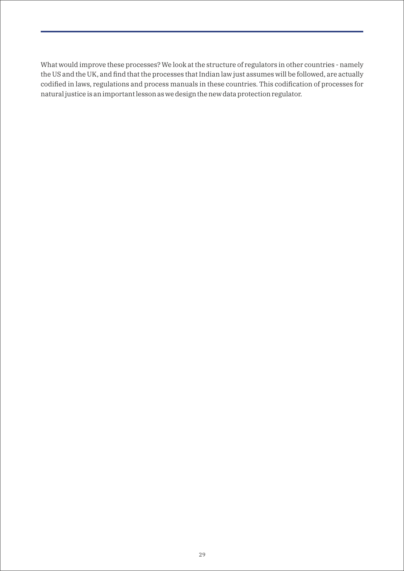What would improve these processes? We look at the structure of regulators in other countries - namely the US and the UK, and find that the processes that Indian law just assumes will be followed, are actually codified in laws, regulations and process manuals in these countries. This codification of processes for natural justice is an important lesson as we design the new data protection regulator.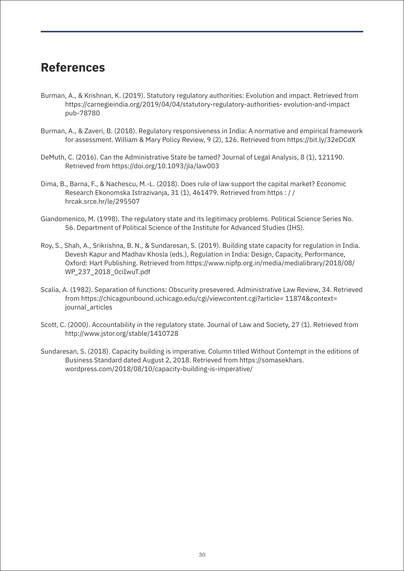### **References**

- Burman, A., & Krishnan, K. (2019). Statutory regulatory authorities: Evolution and impact. Retrieved from https://carnegieindia.org/2019/04/04/statutory-regulatory-authorities- evolution-and-impact pub-78780
- Burman, A., & Zaveri, B. (2018). Regulatory responsiveness in India: A normative and empirical framework for assessment. William & Mary Policy Review, 9 (2), 126. Retrieved from https://bit.ly/32eDCdX
- DeMuth, C. (2016). Can the Administrative State be tamed? Journal of Legal Analysis, 8 (1), 121190. Retrieved from https://doi.org/10.1093/jla/law003
- Dima, B., Barna, F., & Nachescu, M.-L. (2018). Does rule of law support the capital market? Economic Research Ekonomska Istrazivanja, 31 (1), 461479. Retrieved from https : / / hrcak.srce.hr/le/295507
- Giandomenico, M. (1998). The regulatory state and its legitimacy problems. Political Science Series No. 56. Department of Political Science of the Institute for Advanced Studies (IHS).
- Roy, S., Shah, A., Srikrishna, B. N., & Sundaresan, S. (2019). Building state capacity for regulation in India. Devesh Kapur and Madhav Khosla (eds.), Regulation in India: Design, Capacity, Performance, Oxford: Hart Publishing. Retrieved from https://www.nipfp.org.in/media/medialibrary/2018/08/ WP\_237\_2018\_0ciIwuT.pdf
- Scalia, A. (1982). Separation of functions: Obscurity presevered. Administrative Law Review, 34. Retrieved from https://chicagounbound.uchicago.edu/cgi/viewcontent.cgi?article= 11874&context= journal\_articles
- Scott, C. (2000). Accountability in the regulatory state. Journal of Law and Society, 27 (1). Retrieved from http://www.jstor.org/stable/1410728
- Sundaresan, S. (2018). Capacity building is imperative. Column titled Without Contempt in the editions of Business Standard dated August 2, 2018. Retrieved from https://somasekhars. wordpress.com/2018/08/10/capacity-building-is-imperative/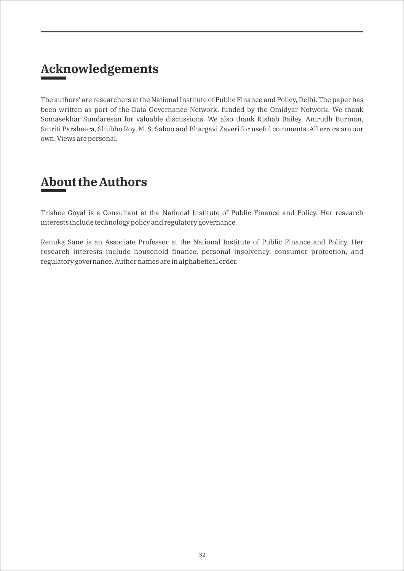# **Acknowledgements**

The authors' are researchers at the National Institute of Public Finance and Policy, Delhi. The paper has been written as part of the Data Governance Network, funded by the Omidyar Network. We thank Somasekhar Sundaresan for valuable discussions. We also thank Rishab Bailey, Anirudh Burman, Smriti Parsheera, Shubho Roy, M. S. Sahoo and Bhargavi Zaveri for useful comments. All errors are our own. Views are personal.

### **About the Authors**

Trishee Goyal is a Consultant at the National Institute of Public Finance and Policy. Her research interests include technology policy and regulatory governance.

Renuka Sane is an Associate Professor at the National Institute of Public Finance and Policy. Her research interests include household finance, personal insolvency, consumer protection, and regulatory governance. Author names are in alphabetical order.